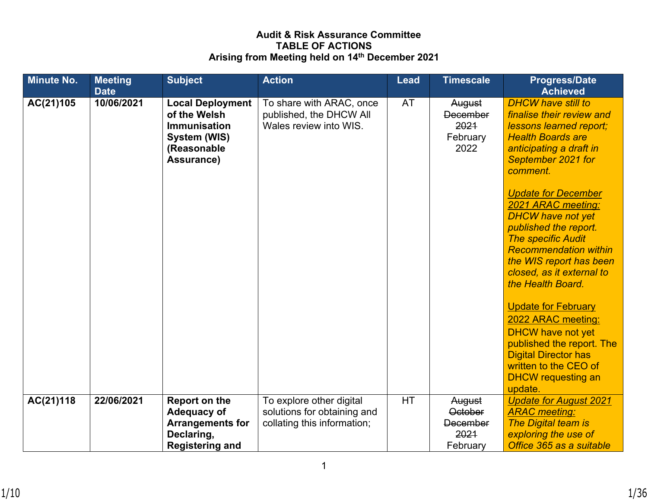# **Audit & Risk Assurance Committee TABLE OF ACTIONS Arising from Meeting held on 14th December 2021**

| <b>Minute No.</b> | <b>Meeting</b><br><b>Date</b> | <b>Subject</b>                                                                                              | <b>Action</b>                                                                          | <b>Lead</b> | <b>Timescale</b>                                                | <b>Progress/Date</b><br><b>Achieved</b>                                                                                                                                                                                                         |
|-------------------|-------------------------------|-------------------------------------------------------------------------------------------------------------|----------------------------------------------------------------------------------------|-------------|-----------------------------------------------------------------|-------------------------------------------------------------------------------------------------------------------------------------------------------------------------------------------------------------------------------------------------|
| AC(21)105         | 10/06/2021                    | <b>Local Deployment</b><br>of the Welsh<br><b>Immunisation</b><br>System (WIS)<br>(Reasonable<br>Assurance) | To share with ARAC, once<br>published, the DHCW All<br>Wales review into WIS.          | <b>AT</b>   | August<br><b>December</b><br>2021<br>February<br>2022           | <b>DHCW have still to</b><br>finalise their review and<br>lessons learned report;<br><b>Health Boards are</b><br>anticipating a draft in<br>September 2021 for<br>comment.                                                                      |
|                   |                               |                                                                                                             |                                                                                        |             |                                                                 | <b>Update for December</b><br>2021 ARAC meeting:<br><b>DHCW have not yet</b><br>published the report.<br><b>The specific Audit</b><br><b>Recommendation within</b><br>the WIS report has been<br>closed, as it external to<br>the Health Board. |
|                   |                               |                                                                                                             |                                                                                        |             |                                                                 | <b>Update for February</b><br>2022 ARAC meeting:<br><b>DHCW have not yet</b><br>published the report. The<br><b>Digital Director has</b><br>written to the CEO of<br><b>DHCW</b> requesting an<br>update.                                       |
| AC(21)118         | 22/06/2021                    | <b>Report on the</b><br>Adequacy of<br><b>Arrangements for</b><br>Declaring,<br><b>Registering and</b>      | To explore other digital<br>solutions for obtaining and<br>collating this information; | <b>HT</b>   | August<br><b>October</b><br><b>December</b><br>2021<br>February | <b>Update for August 2021</b><br><b>ARAC</b> meeting:<br><b>The Digital team is</b><br>exploring the use of<br>Office 365 as a suitable                                                                                                         |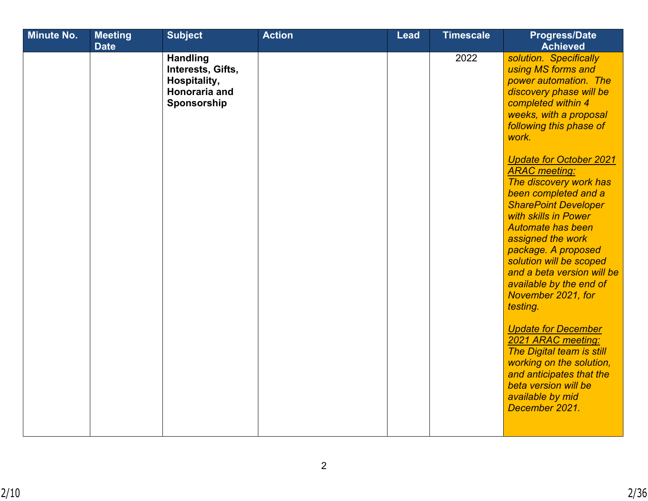| 2022<br>solution. Specifically<br><b>Handling</b><br>Interests, Gifts,<br>using MS forms and<br>power automation. The<br>Hospitality,<br>Honoraria and<br>discovery phase will be<br>Sponsorship<br>completed within 4<br>weeks, with a proposal<br>following this phase of<br>work.<br><b>Update for October 2021</b><br><b>ARAC</b> meeting:<br>The discovery work has<br>been completed and a<br><b>SharePoint Developer</b><br>with skills in Power<br><b>Automate has been</b><br>assigned the work<br>package. A proposed<br>solution will be scoped<br>and a beta version will be<br>available by the end of<br>November 2021, for<br>testing.<br><b>Update for December</b><br>2021 ARAC meeting:<br>The Digital team is still<br>working on the solution,<br>and anticipates that the | <b>Minute No.</b> | <b>Meeting</b><br><b>Date</b> | <b>Subject</b> | <b>Action</b> | <b>Lead</b> | <b>Timescale</b> | <b>Progress/Date</b><br><b>Achieved</b> |
|------------------------------------------------------------------------------------------------------------------------------------------------------------------------------------------------------------------------------------------------------------------------------------------------------------------------------------------------------------------------------------------------------------------------------------------------------------------------------------------------------------------------------------------------------------------------------------------------------------------------------------------------------------------------------------------------------------------------------------------------------------------------------------------------|-------------------|-------------------------------|----------------|---------------|-------------|------------------|-----------------------------------------|
| available by mid<br>December 2021.                                                                                                                                                                                                                                                                                                                                                                                                                                                                                                                                                                                                                                                                                                                                                             |                   |                               |                |               |             |                  | beta version will be                    |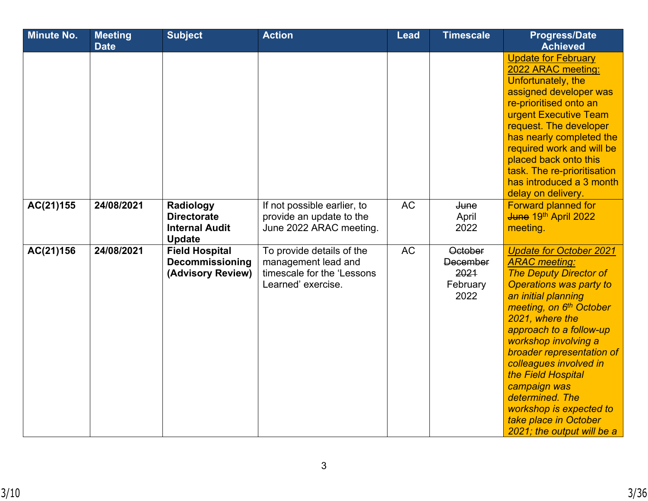| <b>Minute No.</b> | <b>Meeting</b><br><b>Date</b> | <b>Subject</b>                                                            | <b>Action</b>                                                                                        | <b>Lead</b> | <b>Timescale</b>                                              | <b>Progress/Date</b><br><b>Achieved</b>                                                                                                                                                                                                                                                                                                                                                                                                                         |
|-------------------|-------------------------------|---------------------------------------------------------------------------|------------------------------------------------------------------------------------------------------|-------------|---------------------------------------------------------------|-----------------------------------------------------------------------------------------------------------------------------------------------------------------------------------------------------------------------------------------------------------------------------------------------------------------------------------------------------------------------------------------------------------------------------------------------------------------|
|                   |                               |                                                                           |                                                                                                      |             |                                                               | <b>Update for February</b><br>2022 ARAC meeting:<br>Unfortunately, the<br>assigned developer was<br>re-prioritised onto an<br>urgent Executive Team<br>request. The developer<br>has nearly completed the<br>required work and will be<br>placed back onto this<br>task. The re-prioritisation<br>has introduced a 3 month<br>delay on delivery.                                                                                                                |
| AC(21)155         | 24/08/2021                    | Radiology<br><b>Directorate</b><br><b>Internal Audit</b><br><b>Update</b> | If not possible earlier, to<br>provide an update to the<br>June 2022 ARAC meeting.                   | <b>AC</b>   | <b>June</b><br>April<br>2022                                  | <b>Forward planned for</b><br>June 19th April 2022<br>meeting.                                                                                                                                                                                                                                                                                                                                                                                                  |
| AC(21)156         | 24/08/2021                    | <b>Field Hospital</b><br><b>Decommissioning</b><br>(Advisory Review)      | To provide details of the<br>management lead and<br>timescale for the 'Lessons<br>Learned' exercise. | <b>AC</b>   | <b>October</b><br><b>December</b><br>2021<br>February<br>2022 | <b>Update for October 2021</b><br><b>ARAC</b> meeting:<br><b>The Deputy Director of</b><br><b>Operations was party to</b><br>an initial planning<br>meeting, on 6 <sup>th</sup> October<br>2021, where the<br>approach to a follow-up<br>workshop involving a<br>broader representation of<br>colleagues involved in<br>the Field Hospital<br>campaign was<br>determined. The<br>workshop is expected to<br>take place in October<br>2021; the output will be a |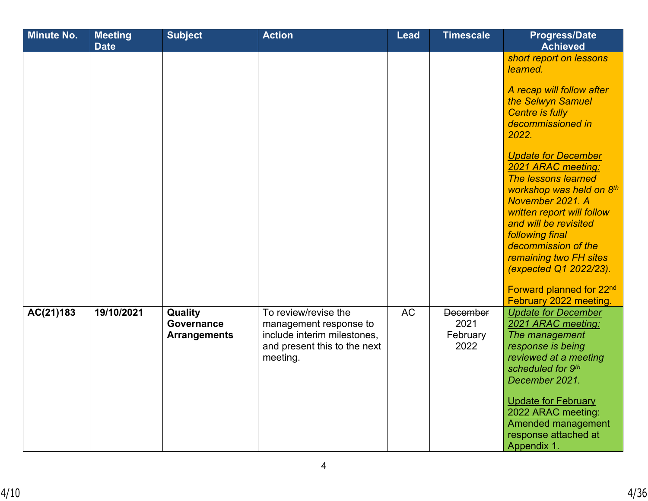| <b>Minute No.</b> | <b>Meeting</b><br><b>Date</b> | <b>Subject</b>                               | <b>Action</b>                                                                                                             | <b>Lead</b> | <b>Timescale</b>                            | <b>Progress/Date</b><br><b>Achieved</b>                                                                                                                                                                                                                                                                                                        |
|-------------------|-------------------------------|----------------------------------------------|---------------------------------------------------------------------------------------------------------------------------|-------------|---------------------------------------------|------------------------------------------------------------------------------------------------------------------------------------------------------------------------------------------------------------------------------------------------------------------------------------------------------------------------------------------------|
|                   |                               |                                              |                                                                                                                           |             |                                             | short report on lessons<br>learned.<br>A recap will follow after                                                                                                                                                                                                                                                                               |
|                   |                               |                                              |                                                                                                                           |             |                                             | the Selwyn Samuel<br><b>Centre is fully</b><br>decommissioned in<br>2022.                                                                                                                                                                                                                                                                      |
|                   |                               |                                              |                                                                                                                           |             |                                             | <b>Update for December</b><br>2021 ARAC meeting:<br>The lessons learned<br>workshop was held on 8th<br>November 2021. A<br>written report will follow<br>and will be revisited<br>following final<br>decommission of the<br>remaining two FH sites<br>(expected Q1 2022/23).<br>Forward planned for 22 <sup>nd</sup><br>February 2022 meeting. |
| AC(21)183         | 19/10/2021                    | Quality<br>Governance<br><b>Arrangements</b> | To review/revise the<br>management response to<br>include interim milestones,<br>and present this to the next<br>meeting. | <b>AC</b>   | <b>December</b><br>2021<br>February<br>2022 | <b>Update for December</b><br>2021 ARAC meeting:<br>The management<br>response is being<br>reviewed at a meeting<br>scheduled for 9th<br>December 2021.<br><b>Update for February</b><br>2022 ARAC meeting:<br>Amended management<br>response attached at<br>Appendix 1.                                                                       |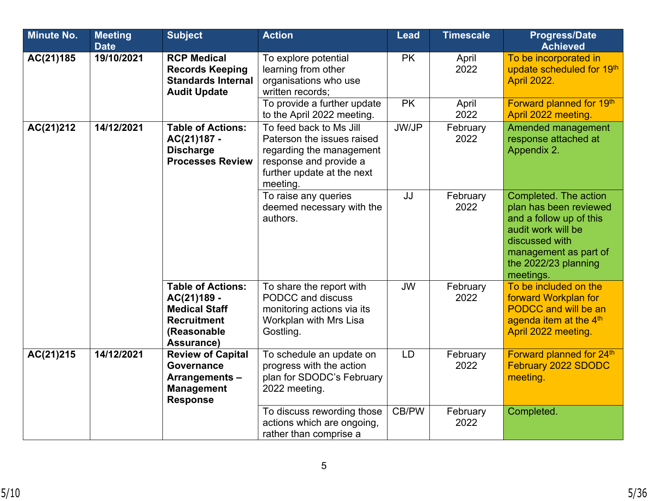| <b>Minute No.</b> | <b>Meeting</b><br><b>Date</b>                                                                                               | <b>Subject</b>                                                                                                     | <b>Action</b>                                                                                                                                         | <b>Lead</b>            | <b>Timescale</b> | <b>Progress/Date</b><br><b>Achieved</b>                                                                                                                                          |
|-------------------|-----------------------------------------------------------------------------------------------------------------------------|--------------------------------------------------------------------------------------------------------------------|-------------------------------------------------------------------------------------------------------------------------------------------------------|------------------------|------------------|----------------------------------------------------------------------------------------------------------------------------------------------------------------------------------|
| AC(21)185         | 19/10/2021                                                                                                                  | <b>RCP Medical</b><br><b>Records Keeping</b><br><b>Standards Internal</b><br><b>Audit Update</b>                   | To explore potential<br>learning from other<br>organisations who use<br>written records:<br>To provide a further update                               | <b>PK</b><br><b>PK</b> | April<br>2022    | To be incorporated in<br>update scheduled for 19th<br><b>April 2022.</b><br>Forward planned for 19th                                                                             |
|                   |                                                                                                                             |                                                                                                                    | to the April 2022 meeting.                                                                                                                            |                        | April<br>2022    | April 2022 meeting.                                                                                                                                                              |
| AC(21)212         | 14/12/2021<br><b>Table of Actions:</b><br>AC(21)187 -<br><b>Discharge</b><br><b>Processes Review</b>                        |                                                                                                                    | To feed back to Ms Jill<br>Paterson the issues raised<br>regarding the management<br>response and provide a<br>further update at the next<br>meeting. | JW/JP                  | February<br>2022 | <b>Amended management</b><br>response attached at<br>Appendix 2.                                                                                                                 |
|                   |                                                                                                                             |                                                                                                                    | To raise any queries<br>deemed necessary with the<br>authors.                                                                                         | JJ                     | February<br>2022 | Completed. The action<br>plan has been reviewed<br>and a follow up of this<br>audit work will be<br>discussed with<br>management as part of<br>the 2022/23 planning<br>meetings. |
|                   |                                                                                                                             | <b>Table of Actions:</b><br>AC(21)189 -<br><b>Medical Staff</b><br><b>Recruitment</b><br>(Reasonable<br>Assurance) | To share the report with<br>PODCC and discuss<br>monitoring actions via its<br>Workplan with Mrs Lisa<br>Gostling.                                    | <b>JW</b>              | February<br>2022 | To be included on the<br>forward Workplan for<br><b>PODCC and will be an</b><br>agenda item at the 4 <sup>th</sup><br>April 2022 meeting.                                        |
| AC(21)215         | 14/12/2021<br><b>Review of Capital</b><br><b>Governance</b><br><b>Arrangements-</b><br><b>Management</b><br><b>Response</b> |                                                                                                                    | To schedule an update on<br>progress with the action<br>plan for SDODC's February<br>2022 meeting.                                                    | <b>LD</b>              | February<br>2022 | Forward planned for 24th<br><b>February 2022 SDODC</b><br>meeting.                                                                                                               |
|                   |                                                                                                                             |                                                                                                                    | To discuss rewording those<br>actions which are ongoing,<br>rather than comprise a                                                                    | CB/PW                  | February<br>2022 | Completed.                                                                                                                                                                       |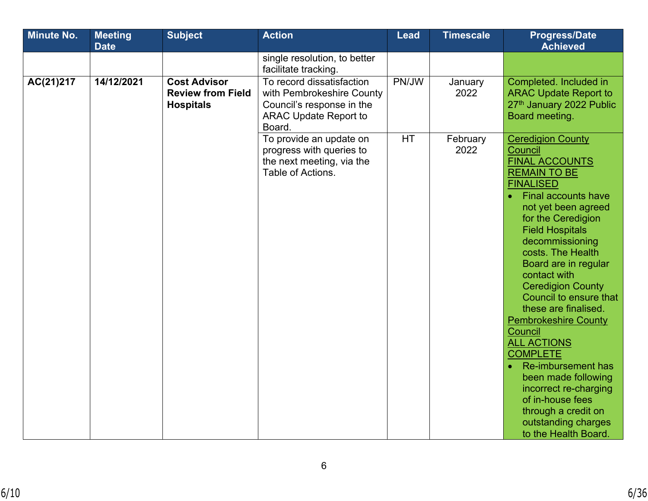| <b>Minute No.</b> | <b>Meeting</b> | <b>Subject</b>                                                      | <b>Action</b>                                                                                                                 | <b>Lead</b> | <b>Timescale</b> | <b>Progress/Date</b>                                                                                                                                                                                                                                                                                                                                                                                                                                                                                                                                                                                                          |  |
|-------------------|----------------|---------------------------------------------------------------------|-------------------------------------------------------------------------------------------------------------------------------|-------------|------------------|-------------------------------------------------------------------------------------------------------------------------------------------------------------------------------------------------------------------------------------------------------------------------------------------------------------------------------------------------------------------------------------------------------------------------------------------------------------------------------------------------------------------------------------------------------------------------------------------------------------------------------|--|
|                   | <b>Date</b>    |                                                                     |                                                                                                                               |             |                  | <b>Achieved</b>                                                                                                                                                                                                                                                                                                                                                                                                                                                                                                                                                                                                               |  |
|                   |                |                                                                     | single resolution, to better<br>facilitate tracking.                                                                          |             |                  |                                                                                                                                                                                                                                                                                                                                                                                                                                                                                                                                                                                                                               |  |
| AC(21)217         | 14/12/2021     | <b>Cost Advisor</b><br><b>Review from Field</b><br><b>Hospitals</b> | To record dissatisfaction<br>with Pembrokeshire County<br>Council's response in the<br><b>ARAC Update Report to</b><br>Board. | PN/JW       | January<br>2022  | Completed. Included in<br><b>ARAC Update Report to</b><br>27th January 2022 Public<br>Board meeting.                                                                                                                                                                                                                                                                                                                                                                                                                                                                                                                          |  |
|                   |                |                                                                     | To provide an update on<br>progress with queries to<br>the next meeting, via the<br>Table of Actions.                         | HT          | February<br>2022 | <b>Ceredigion County</b><br>Council<br><b>FINAL ACCOUNTS</b><br><b>REMAIN TO BE</b><br><b>FINALISED</b><br><b>Final accounts have</b><br>not yet been agreed<br>for the Ceredigion<br><b>Field Hospitals</b><br>decommissioning<br>costs. The Health<br>Board are in regular<br>contact with<br><b>Ceredigion County</b><br>Council to ensure that<br>these are finalised.<br><b>Pembrokeshire County</b><br>Council<br><b>ALL ACTIONS</b><br><b>COMPLETE</b><br>Re-imbursement has<br>been made following<br>incorrect re-charging<br>of in-house fees<br>through a credit on<br>outstanding charges<br>to the Health Board. |  |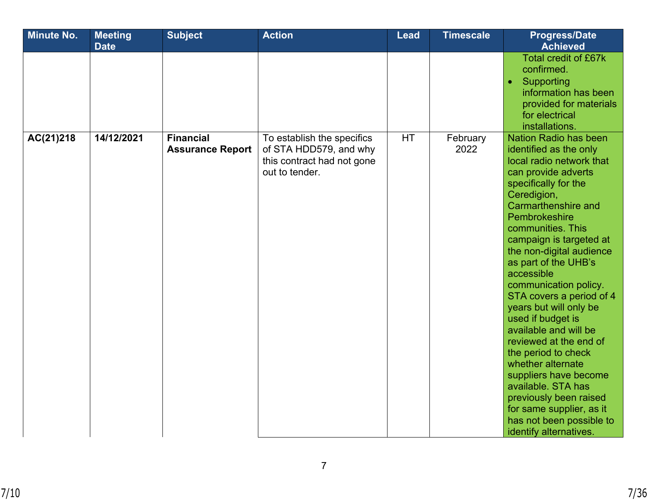| <b>Minute No.</b> | <b>Meeting</b><br><b>Date</b> | <b>Subject</b>                              | <b>Action</b>                                                                                        | <b>Lead</b> | <b>Timescale</b> | <b>Progress/Date</b><br><b>Achieved</b>                                                                                                                                                                                                                                                                                                                                                                                                                                                                                                                                                                                                                                  |
|-------------------|-------------------------------|---------------------------------------------|------------------------------------------------------------------------------------------------------|-------------|------------------|--------------------------------------------------------------------------------------------------------------------------------------------------------------------------------------------------------------------------------------------------------------------------------------------------------------------------------------------------------------------------------------------------------------------------------------------------------------------------------------------------------------------------------------------------------------------------------------------------------------------------------------------------------------------------|
|                   |                               |                                             |                                                                                                      |             |                  | <b>Total credit of £67k</b><br>confirmed.<br>Supporting<br>$\bullet$<br>information has been<br>provided for materials<br>for electrical<br>installations.                                                                                                                                                                                                                                                                                                                                                                                                                                                                                                               |
| AC(21)218         | 14/12/2021                    | <b>Financial</b><br><b>Assurance Report</b> | To establish the specifics<br>of STA HDD579, and why<br>this contract had not gone<br>out to tender. | <b>HT</b>   | February<br>2022 | <b>Nation Radio has been</b><br>identified as the only<br>local radio network that<br>can provide adverts<br>specifically for the<br>Ceredigion,<br>Carmarthenshire and<br>Pembrokeshire<br>communities. This<br>campaign is targeted at<br>the non-digital audience<br>as part of the UHB's<br>accessible<br>communication policy.<br>STA covers a period of 4<br>years but will only be<br>used if budget is<br>available and will be<br>reviewed at the end of<br>the period to check<br>whether alternate<br>suppliers have become<br>available. STA has<br>previously been raised<br>for same supplier, as it<br>has not been possible to<br>identify alternatives. |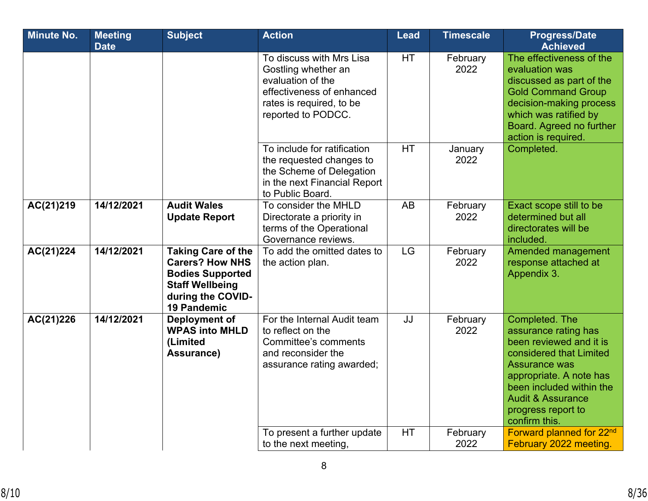| <b>Minute No.</b> | <b>Meeting</b><br><b>Date</b> | <b>Subject</b>                                                                                                                                      | <b>Action</b>                                                                                                                                       | <b>Lead</b><br><b>Timescale</b> |                  | <b>Progress/Date</b><br><b>Achieved</b>                                                                                                                                                                                                            |  |
|-------------------|-------------------------------|-----------------------------------------------------------------------------------------------------------------------------------------------------|-----------------------------------------------------------------------------------------------------------------------------------------------------|---------------------------------|------------------|----------------------------------------------------------------------------------------------------------------------------------------------------------------------------------------------------------------------------------------------------|--|
|                   |                               |                                                                                                                                                     | To discuss with Mrs Lisa<br>Gostling whether an<br>evaluation of the<br>effectiveness of enhanced<br>rates is required, to be<br>reported to PODCC. | HT                              | February<br>2022 | The effectiveness of the<br>evaluation was<br>discussed as part of the<br><b>Gold Command Group</b><br>decision-making process<br>which was ratified by<br>Board. Agreed no further<br>action is required.                                         |  |
|                   |                               |                                                                                                                                                     | To include for ratification<br>the requested changes to<br>the Scheme of Delegation<br>in the next Financial Report<br>to Public Board.             | <b>HT</b>                       | January<br>2022  | Completed.                                                                                                                                                                                                                                         |  |
| AC(21)219         | 14/12/2021                    | <b>Audit Wales</b><br><b>Update Report</b>                                                                                                          | To consider the MHLD<br>Directorate a priority in<br>terms of the Operational<br>Governance reviews.                                                | AB                              | February<br>2022 | Exact scope still to be<br>determined but all<br>directorates will be<br>included.                                                                                                                                                                 |  |
| AC(21)224         | 14/12/2021                    | <b>Taking Care of the</b><br><b>Carers? How NHS</b><br><b>Bodies Supported</b><br><b>Staff Wellbeing</b><br>during the COVID-<br><b>19 Pandemic</b> | To add the omitted dates to<br>the action plan.                                                                                                     | <b>LG</b>                       | February<br>2022 | Amended management<br>response attached at<br>Appendix 3.                                                                                                                                                                                          |  |
| AC(21)226         | 14/12/2021                    | <b>Deployment of</b><br><b>WPAS into MHLD</b><br>(Limited<br>Assurance)                                                                             | For the Internal Audit team<br>to reflect on the<br>Committee's comments<br>and reconsider the<br>assurance rating awarded;                         | JJ                              | February<br>2022 | Completed. The<br>assurance rating has<br>been reviewed and it is<br>considered that Limited<br><b>Assurance was</b><br>appropriate. A note has<br>been included within the<br><b>Audit &amp; Assurance</b><br>progress report to<br>confirm this. |  |
|                   |                               |                                                                                                                                                     | To present a further update<br>to the next meeting,                                                                                                 | HT                              | February<br>2022 | Forward planned for 22nd<br>February 2022 meeting.                                                                                                                                                                                                 |  |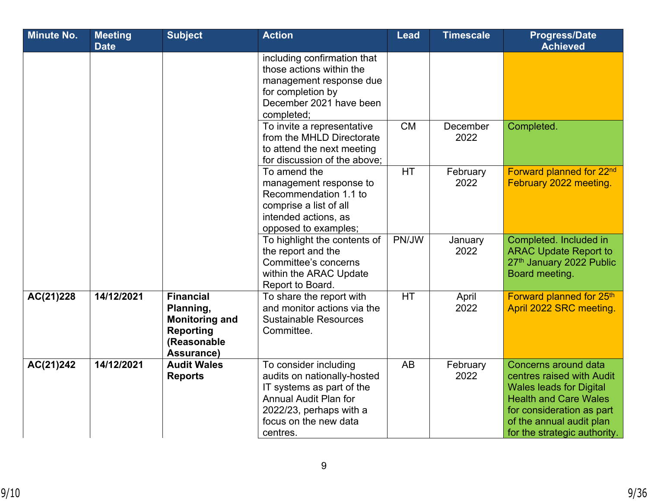| <b>Minute No.</b> | <b>Meeting</b><br><b>Date</b> | <b>Subject</b>                                                                                          | <b>Action</b>                                                                                                                                                                     | Lead      | <b>Timescale</b> | <b>Progress/Date</b><br><b>Achieved</b>                                                                                                                                                                      |
|-------------------|-------------------------------|---------------------------------------------------------------------------------------------------------|-----------------------------------------------------------------------------------------------------------------------------------------------------------------------------------|-----------|------------------|--------------------------------------------------------------------------------------------------------------------------------------------------------------------------------------------------------------|
|                   |                               |                                                                                                         | including confirmation that<br>those actions within the<br>management response due<br>for completion by<br>December 2021 have been<br>completed;                                  |           |                  |                                                                                                                                                                                                              |
|                   |                               |                                                                                                         | To invite a representative<br>from the MHLD Directorate<br>to attend the next meeting<br>for discussion of the above:                                                             | <b>CM</b> | December<br>2022 | Completed.                                                                                                                                                                                                   |
|                   |                               |                                                                                                         | To amend the<br>management response to<br>Recommendation 1.1 to<br>comprise a list of all<br>intended actions, as<br>opposed to examples;                                         | <b>HT</b> | February<br>2022 | Forward planned for 22nd<br>February 2022 meeting.                                                                                                                                                           |
|                   |                               |                                                                                                         | To highlight the contents of<br>the report and the<br>Committee's concerns<br>within the ARAC Update<br>Report to Board.                                                          | PN/JW     | January<br>2022  | Completed. Included in<br><b>ARAC Update Report to</b><br>27th January 2022 Public<br>Board meeting.                                                                                                         |
| AC(21)228         | 14/12/2021                    | <b>Financial</b><br>Planning,<br><b>Monitoring and</b><br><b>Reporting</b><br>(Reasonable<br>Assurance) | To share the report with<br>and monitor actions via the<br><b>Sustainable Resources</b><br>Committee.                                                                             | <b>HT</b> | April<br>2022    | Forward planned for 25th<br>April 2022 SRC meeting.                                                                                                                                                          |
| AC(21)242         | 14/12/2021                    | <b>Audit Wales</b><br><b>Reports</b>                                                                    | To consider including<br>audits on nationally-hosted<br>IT systems as part of the<br><b>Annual Audit Plan for</b><br>2022/23, perhaps with a<br>focus on the new data<br>centres. | <b>AB</b> | February<br>2022 | Concerns around data<br>centres raised with Audit<br><b>Wales leads for Digital</b><br><b>Health and Care Wales</b><br>for consideration as part<br>of the annual audit plan<br>for the strategic authority. |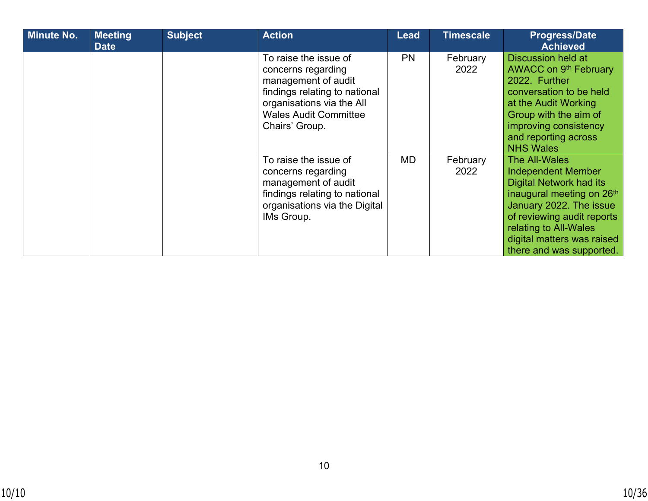| <b>Minute No.</b> | <b>Meeting</b><br><b>Date</b> | <b>Subject</b> | <b>Action</b>                                                                                                                                                                      | <b>Lead</b> | <b>Timescale</b> | <b>Progress/Date</b><br><b>Achieved</b>                                                                                                                                                                                                                      |
|-------------------|-------------------------------|----------------|------------------------------------------------------------------------------------------------------------------------------------------------------------------------------------|-------------|------------------|--------------------------------------------------------------------------------------------------------------------------------------------------------------------------------------------------------------------------------------------------------------|
|                   |                               |                | To raise the issue of<br>concerns regarding<br>management of audit<br>findings relating to national<br>organisations via the All<br><b>Wales Audit Committee</b><br>Chairs' Group. | <b>PN</b>   | February<br>2022 | <b>Discussion held at</b><br>AWACC on 9 <sup>th</sup> February<br>2022. Further<br>conversation to be held<br>at the Audit Working<br>Group with the aim of<br>improving consistency<br>and reporting across<br><b>NHS Wales</b>                             |
|                   |                               |                | To raise the issue of<br>concerns regarding<br>management of audit<br>findings relating to national<br>organisations via the Digital<br>IMs Group.                                 | MD          | February<br>2022 | <b>The All-Wales</b><br><b>Independent Member</b><br><b>Digital Network had its</b><br>inaugural meeting on 26th<br>January 2022. The issue<br>of reviewing audit reports<br>relating to All-Wales<br>digital matters was raised<br>there and was supported. |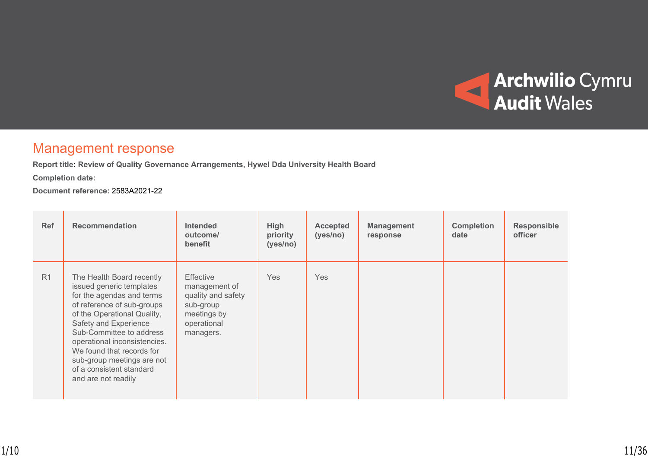

# Management response

**Report title: Review of Quality Governance Arrangements, Hywel Dda University Health Board**

**Completion date:** 

**Document reference:** 2583A2021-22

| Ref            | <b>Recommendation</b>                                                                                                                                                                                                                                                                                                                              | <b>Intended</b><br>outcome/<br>benefit                                                                          | High<br>priority<br>(yes/no) | <b>Accepted</b><br>(yes/no) | <b>Management</b><br>response | <b>Completion</b><br>date | <b>Responsible</b><br>officer |
|----------------|----------------------------------------------------------------------------------------------------------------------------------------------------------------------------------------------------------------------------------------------------------------------------------------------------------------------------------------------------|-----------------------------------------------------------------------------------------------------------------|------------------------------|-----------------------------|-------------------------------|---------------------------|-------------------------------|
| R <sub>1</sub> | The Health Board recently<br>issued generic templates<br>for the agendas and terms<br>of reference of sub-groups<br>of the Operational Quality,<br>Safety and Experience<br>Sub-Committee to address<br>operational inconsistencies.<br>We found that records for<br>sub-group meetings are not<br>of a consistent standard<br>and are not readily | <b>Effective</b><br>management of<br>quality and safety<br>sub-group<br>meetings by<br>operational<br>managers. | <b>Yes</b>                   | <b>Yes</b>                  |                               |                           |                               |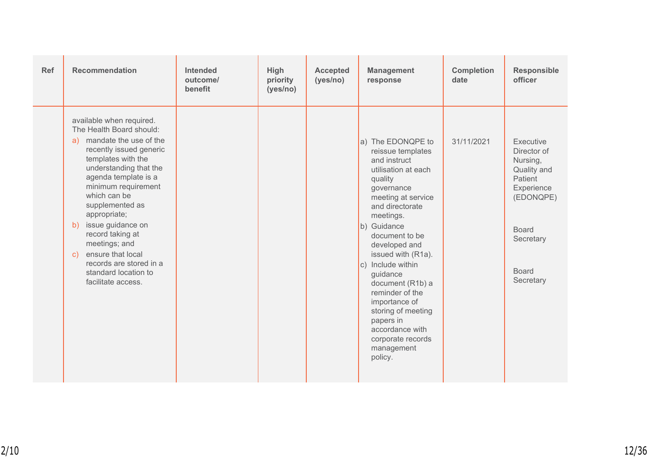| <b>Recommendation</b><br><b>Ref</b><br><b>Intended</b><br>High<br><b>Management</b><br><b>Accepted</b><br>outcome/<br>priority<br>(yes/no)<br>response<br>benefit<br>(yes/no)                                                                                                                                                                                                                                                                                                                                                                                                                                                                                                                                                                                                                                                                                                        | <b>Completion</b><br>date | <b>Responsible</b><br>officer                                                                                                                       |
|--------------------------------------------------------------------------------------------------------------------------------------------------------------------------------------------------------------------------------------------------------------------------------------------------------------------------------------------------------------------------------------------------------------------------------------------------------------------------------------------------------------------------------------------------------------------------------------------------------------------------------------------------------------------------------------------------------------------------------------------------------------------------------------------------------------------------------------------------------------------------------------|---------------------------|-----------------------------------------------------------------------------------------------------------------------------------------------------|
| available when required.<br>The Health Board should:<br>mandate the use of the<br>a)<br>a) The EDONQPE to<br>recently issued generic<br>reissue templates<br>templates with the<br>and instruct<br>understanding that the<br>utilisation at each<br>agenda template is a<br>quality<br>minimum requirement<br>governance<br>which can be<br>meeting at service<br>supplemented as<br>and directorate<br>appropriate;<br>meetings.<br>issue guidance on<br>b)<br>b) Guidance<br>record taking at<br>document to be<br>meetings; and<br>developed and<br>ensure that local<br>issued with (R1a).<br>$\mathbf{C}$<br>records are stored in a<br>c) Include within<br>standard location to<br>guidance<br>facilitate access.<br>document (R1b) a<br>reminder of the<br>importance of<br>storing of meeting<br>papers in<br>accordance with<br>corporate records<br>management<br>policy. | 31/11/2021                | Executive<br>Director of<br>Nursing,<br>Quality and<br>Patient<br>Experience<br>(EDONQPE)<br><b>Board</b><br>Secretary<br><b>Board</b><br>Secretary |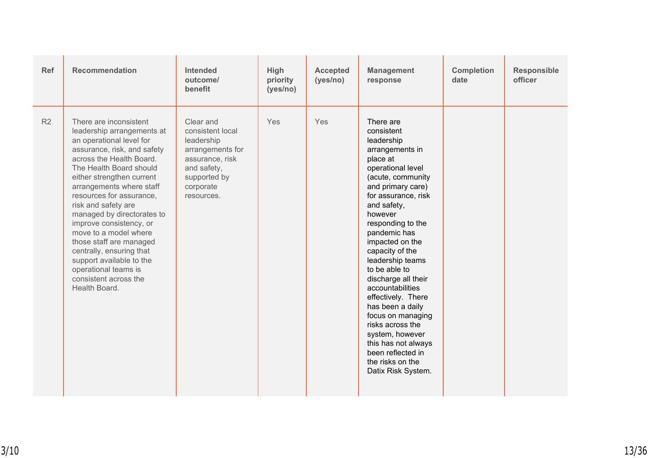| <b>Ref</b> | <b>Recommendation</b>                                                                                                                                                                                                                                                                                                                                                                                                                                                                                                     | Intended<br>outcome/<br>benefit                                                                                                              | High<br>priority<br>(yes/no) | <b>Accepted</b><br>(yes/no) | <b>Management</b><br>response                                                                                                                                                                                                                                                                                                                                                                                                                                                                                                               | <b>Completion</b><br>date | <b>Responsible</b><br>officer |
|------------|---------------------------------------------------------------------------------------------------------------------------------------------------------------------------------------------------------------------------------------------------------------------------------------------------------------------------------------------------------------------------------------------------------------------------------------------------------------------------------------------------------------------------|----------------------------------------------------------------------------------------------------------------------------------------------|------------------------------|-----------------------------|---------------------------------------------------------------------------------------------------------------------------------------------------------------------------------------------------------------------------------------------------------------------------------------------------------------------------------------------------------------------------------------------------------------------------------------------------------------------------------------------------------------------------------------------|---------------------------|-------------------------------|
| R2         | There are inconsistent<br>leadership arrangements at<br>an operational level for<br>assurance, risk, and safety<br>across the Health Board.<br>The Health Board should<br>either strengthen current<br>arrangements where staff<br>resources for assurance,<br>risk and safety are<br>managed by directorates to<br>improve consistency, or<br>move to a model where<br>those staff are managed<br>centrally, ensuring that<br>support available to the<br>operational teams is<br>consistent across the<br>Health Board. | Clear and<br>consistent local<br>leadership<br>arrangements for<br>assurance, risk<br>and safety,<br>supported by<br>corporate<br>resources. | Yes                          | Yes                         | There are<br>consistent<br>leadership<br>arrangements in<br>place at<br>operational level<br>(acute, community<br>and primary care)<br>for assurance, risk<br>and safety,<br>however<br>responding to the<br>pandemic has<br>impacted on the<br>capacity of the<br>leadership teams<br>to be able to<br>discharge all their<br>accountabilities<br>effectively. There<br>has been a daily<br>focus on managing<br>risks across the<br>system, however<br>this has not always<br>been reflected in<br>the risks on the<br>Datix Risk System. |                           |                               |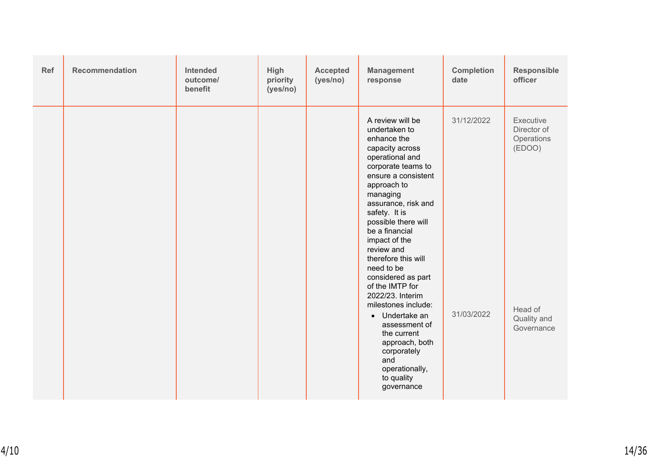| Ref | Recommendation | Intended<br>outcome/<br>benefit | High<br>priority<br>(yes/no) | <b>Accepted</b><br>(yes/no) | <b>Management</b><br>response                                                                                                                                                                                                                                                                                                                                                                                                                                                                                                                              | <b>Completion</b><br>date | Responsible<br>officer                                                                   |
|-----|----------------|---------------------------------|------------------------------|-----------------------------|------------------------------------------------------------------------------------------------------------------------------------------------------------------------------------------------------------------------------------------------------------------------------------------------------------------------------------------------------------------------------------------------------------------------------------------------------------------------------------------------------------------------------------------------------------|---------------------------|------------------------------------------------------------------------------------------|
|     |                |                                 |                              |                             | A review will be<br>undertaken to<br>enhance the<br>capacity across<br>operational and<br>corporate teams to<br>ensure a consistent<br>approach to<br>managing<br>assurance, risk and<br>safety. It is<br>possible there will<br>be a financial<br>impact of the<br>review and<br>therefore this will<br>need to be<br>considered as part<br>of the IMTP for<br>2022/23. Interim<br>milestones include:<br>Undertake an<br>$\bullet$<br>assessment of<br>the current<br>approach, both<br>corporately<br>and<br>operationally,<br>to quality<br>governance | 31/12/2022<br>31/03/2022  | Executive<br>Director of<br>Operations<br>(EDOO)<br>Head of<br>Quality and<br>Governance |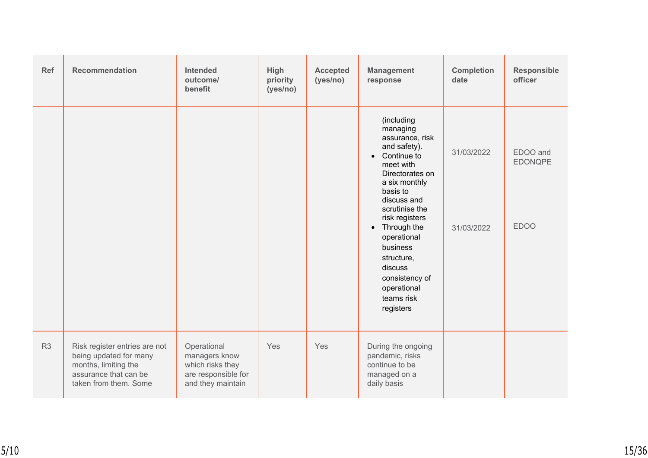| Ref            | <b>Recommendation</b>                                                                                                             | <b>Intended</b><br>outcome/<br>benefit                                                       | High<br>priority<br>(yes/no) | <b>Accepted</b><br>(yes/no) | <b>Management</b><br>response                                                                                                                                                                                                                                                                                                          | <b>Completion</b><br>date | Responsible<br>officer                    |
|----------------|-----------------------------------------------------------------------------------------------------------------------------------|----------------------------------------------------------------------------------------------|------------------------------|-----------------------------|----------------------------------------------------------------------------------------------------------------------------------------------------------------------------------------------------------------------------------------------------------------------------------------------------------------------------------------|---------------------------|-------------------------------------------|
|                |                                                                                                                                   |                                                                                              |                              |                             | (including<br>managing<br>assurance, risk<br>and safety).<br>Continue to<br>$\bullet$<br>meet with<br>Directorates on<br>a six monthly<br>basis to<br>discuss and<br>scrutinise the<br>risk registers<br>• Through the<br>operational<br>business<br>structure,<br>discuss<br>consistency of<br>operational<br>teams risk<br>registers | 31/03/2022<br>31/03/2022  | EDOO and<br><b>EDONQPE</b><br><b>EDOO</b> |
| R <sub>3</sub> | Risk register entries are not<br>being updated for many<br>months, limiting the<br>assurance that can be<br>taken from them. Some | Operational<br>managers know<br>which risks they<br>are responsible for<br>and they maintain | Yes                          | Yes                         | During the ongoing<br>pandemic, risks<br>continue to be<br>managed on a<br>daily basis                                                                                                                                                                                                                                                 |                           |                                           |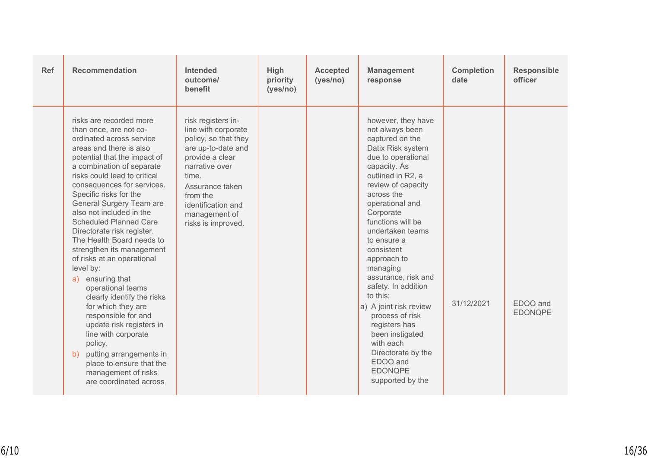| Ref | <b>Recommendation</b>                                                                                                                                                                                                                                                                                                                                                                                                                                                                                                                                                                                                                                                                                                                                                                     | <b>Intended</b><br>outcome/<br>benefit                                                                                                                                                                                            | High<br>priority<br>(yes/no) | <b>Accepted</b><br>(yes/no) | <b>Management</b><br>response                                                                                                                                                                                                                                                                                                                                                                                                                                                                                                                 | <b>Completion</b><br>date | <b>Responsible</b><br>officer |
|-----|-------------------------------------------------------------------------------------------------------------------------------------------------------------------------------------------------------------------------------------------------------------------------------------------------------------------------------------------------------------------------------------------------------------------------------------------------------------------------------------------------------------------------------------------------------------------------------------------------------------------------------------------------------------------------------------------------------------------------------------------------------------------------------------------|-----------------------------------------------------------------------------------------------------------------------------------------------------------------------------------------------------------------------------------|------------------------------|-----------------------------|-----------------------------------------------------------------------------------------------------------------------------------------------------------------------------------------------------------------------------------------------------------------------------------------------------------------------------------------------------------------------------------------------------------------------------------------------------------------------------------------------------------------------------------------------|---------------------------|-------------------------------|
|     | risks are recorded more<br>than once, are not co-<br>ordinated across service<br>areas and there is also<br>potential that the impact of<br>a combination of separate<br>risks could lead to critical<br>consequences for services.<br>Specific risks for the<br>General Surgery Team are<br>also not included in the<br><b>Scheduled Planned Care</b><br>Directorate risk register.<br>The Health Board needs to<br>strengthen its management<br>of risks at an operational<br>level by:<br>a) ensuring that<br>operational teams<br>clearly identify the risks<br>for which they are<br>responsible for and<br>update risk registers in<br>line with corporate<br>policy.<br>putting arrangements in<br>b)<br>place to ensure that the<br>management of risks<br>are coordinated across | risk registers in-<br>line with corporate<br>policy, so that they<br>are up-to-date and<br>provide a clear<br>narrative over<br>time.<br>Assurance taken<br>from the<br>identification and<br>management of<br>risks is improved. |                              |                             | however, they have<br>not always been<br>captured on the<br>Datix Risk system<br>due to operational<br>capacity. As<br>outlined in R2, a<br>review of capacity<br>across the<br>operational and<br>Corporate<br>functions will be<br>undertaken teams<br>to ensure a<br>consistent<br>approach to<br>managing<br>assurance, risk and<br>safety. In addition<br>to this:<br>a) A joint risk review<br>process of risk<br>registers has<br>been instigated<br>with each<br>Directorate by the<br>EDOO and<br><b>EDONQPE</b><br>supported by the | 31/12/2021                | EDOO and<br><b>EDONQPE</b>    |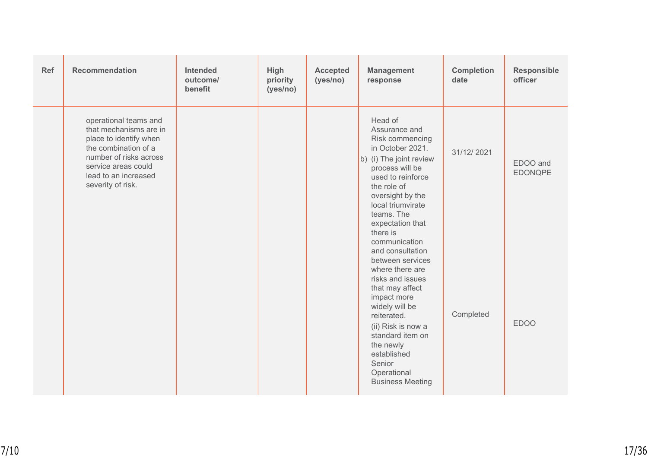| Ref | <b>Recommendation</b>                                                                                                                                                                           | <b>Intended</b><br>outcome/<br>benefit | High<br>priority<br>(yes/no) | <b>Accepted</b><br>(yes/no) | <b>Management</b><br>response                                                                                                                                                                                                                                                                         | <b>Completion</b><br>date | <b>Responsible</b><br>officer |
|-----|-------------------------------------------------------------------------------------------------------------------------------------------------------------------------------------------------|----------------------------------------|------------------------------|-----------------------------|-------------------------------------------------------------------------------------------------------------------------------------------------------------------------------------------------------------------------------------------------------------------------------------------------------|---------------------------|-------------------------------|
|     | operational teams and<br>that mechanisms are in<br>place to identify when<br>the combination of a<br>number of risks across<br>service areas could<br>lead to an increased<br>severity of risk. |                                        |                              |                             | Head of<br>Assurance and<br>Risk commencing<br>in October 2021.<br>b) (i) The joint review<br>process will be<br>used to reinforce<br>the role of<br>oversight by the<br>local triumvirate<br>teams. The<br>expectation that                                                                          | 31/12/2021                | EDOO and<br><b>EDONQPE</b>    |
|     |                                                                                                                                                                                                 |                                        |                              |                             | there is<br>communication<br>and consultation<br>between services<br>where there are<br>risks and issues<br>that may affect<br>impact more<br>widely will be<br>reiterated.<br>(ii) Risk is now a<br>standard item on<br>the newly<br>established<br>Senior<br>Operational<br><b>Business Meeting</b> | Completed                 | <b>EDOO</b>                   |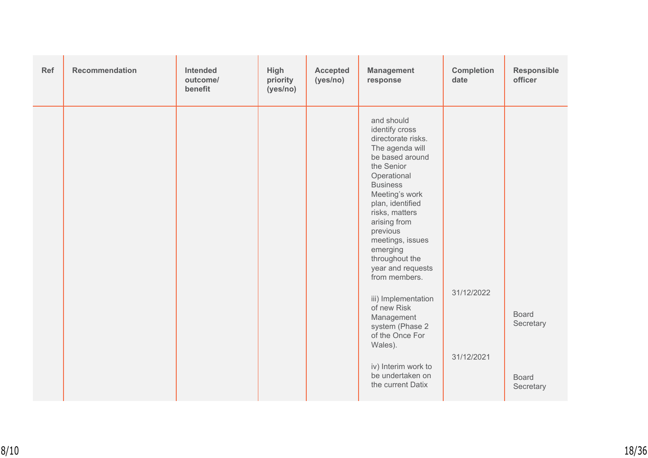| Ref | <b>Recommendation</b> | <b>Intended</b><br>outcome/<br>benefit | High<br>priority<br>(yes/no) | <b>Accepted</b><br>(yes/no) | <b>Management</b><br>response                                                                                                                                                                                                                                                                                                                                                                                                                                                             | <b>Completion</b><br>date | Responsible<br>officer                                 |
|-----|-----------------------|----------------------------------------|------------------------------|-----------------------------|-------------------------------------------------------------------------------------------------------------------------------------------------------------------------------------------------------------------------------------------------------------------------------------------------------------------------------------------------------------------------------------------------------------------------------------------------------------------------------------------|---------------------------|--------------------------------------------------------|
|     |                       |                                        |                              |                             | and should<br>identify cross<br>directorate risks.<br>The agenda will<br>be based around<br>the Senior<br>Operational<br><b>Business</b><br>Meeting's work<br>plan, identified<br>risks, matters<br>arising from<br>previous<br>meetings, issues<br>emerging<br>throughout the<br>year and requests<br>from members.<br>iii) Implementation<br>of new Risk<br>Management<br>system (Phase 2<br>of the Once For<br>Wales).<br>iv) Interim work to<br>be undertaken on<br>the current Datix | 31/12/2022<br>31/12/2021  | <b>Board</b><br>Secretary<br><b>Board</b><br>Secretary |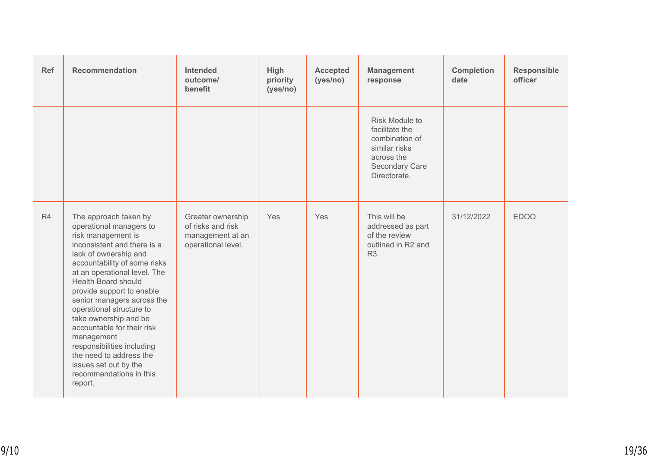| Ref            | <b>Recommendation</b>                                                                                                                                                                                                                                                                                                                                                                                                                                                                                            | Intended<br>outcome/<br>benefit                                                  | High<br>priority<br>(yes/no) | <b>Accepted</b><br>(yes/no) | <b>Management</b><br>response                                                                                              | <b>Completion</b><br>date | Responsible<br>officer |
|----------------|------------------------------------------------------------------------------------------------------------------------------------------------------------------------------------------------------------------------------------------------------------------------------------------------------------------------------------------------------------------------------------------------------------------------------------------------------------------------------------------------------------------|----------------------------------------------------------------------------------|------------------------------|-----------------------------|----------------------------------------------------------------------------------------------------------------------------|---------------------------|------------------------|
|                |                                                                                                                                                                                                                                                                                                                                                                                                                                                                                                                  |                                                                                  |                              |                             | <b>Risk Module to</b><br>facilitate the<br>combination of<br>similar risks<br>across the<br>Secondary Care<br>Directorate. |                           |                        |
| R <sub>4</sub> | The approach taken by<br>operational managers to<br>risk management is<br>inconsistent and there is a<br>lack of ownership and<br>accountability of some risks<br>at an operational level. The<br><b>Health Board should</b><br>provide support to enable<br>senior managers across the<br>operational structure to<br>take ownership and be<br>accountable for their risk<br>management<br>responsibilities including<br>the need to address the<br>issues set out by the<br>recommendations in this<br>report. | Greater ownership<br>of risks and risk<br>management at an<br>operational level. | Yes                          | Yes                         | This will be<br>addressed as part<br>of the review<br>outlined in R2 and<br>R3.                                            | 31/12/2022                | <b>EDOO</b>            |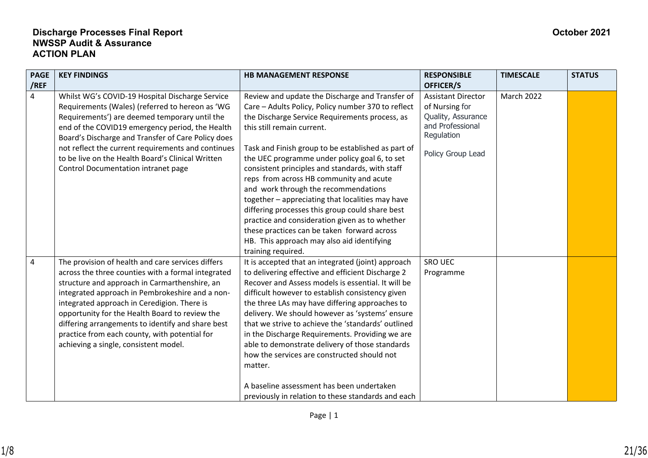| <b>PAGE</b><br>/REF | <b>KEY FINDINGS</b>                                                                                                                                                                                                                                                                                                                                                                                                                                         | <b>HB MANAGEMENT RESPONSE</b>                                                                                                                                                                                                                                                                                                                                                                                                                                                                                                                                                                                                                                                                                  | <b>RESPONSIBLE</b><br>OFFICER/S                                                                                          | <b>TIMESCALE</b>  | <b>STATUS</b> |
|---------------------|-------------------------------------------------------------------------------------------------------------------------------------------------------------------------------------------------------------------------------------------------------------------------------------------------------------------------------------------------------------------------------------------------------------------------------------------------------------|----------------------------------------------------------------------------------------------------------------------------------------------------------------------------------------------------------------------------------------------------------------------------------------------------------------------------------------------------------------------------------------------------------------------------------------------------------------------------------------------------------------------------------------------------------------------------------------------------------------------------------------------------------------------------------------------------------------|--------------------------------------------------------------------------------------------------------------------------|-------------------|---------------|
| 4                   | Whilst WG's COVID-19 Hospital Discharge Service<br>Requirements (Wales) (referred to hereon as 'WG<br>Requirements') are deemed temporary until the<br>end of the COVID19 emergency period, the Health<br>Board's Discharge and Transfer of Care Policy does<br>not reflect the current requirements and continues<br>to be live on the Health Board's Clinical Written<br>Control Documentation intranet page                                              | Review and update the Discharge and Transfer of<br>Care - Adults Policy, Policy number 370 to reflect<br>the Discharge Service Requirements process, as<br>this still remain current.<br>Task and Finish group to be established as part of<br>the UEC programme under policy goal 6, to set<br>consistent principles and standards, with staff<br>reps from across HB community and acute<br>and work through the recommendations<br>together - appreciating that localities may have<br>differing processes this group could share best<br>practice and consideration given as to whether<br>these practices can be taken forward across<br>HB. This approach may also aid identifying<br>training required. | <b>Assistant Director</b><br>of Nursing for<br>Quality, Assurance<br>and Professional<br>Regulation<br>Policy Group Lead | <b>March 2022</b> |               |
| $\overline{4}$      | The provision of health and care services differs<br>across the three counties with a formal integrated<br>structure and approach in Carmarthenshire, an<br>integrated approach in Pembrokeshire and a non-<br>integrated approach in Ceredigion. There is<br>opportunity for the Health Board to review the<br>differing arrangements to identify and share best<br>practice from each county, with potential for<br>achieving a single, consistent model. | It is accepted that an integrated (joint) approach<br>to delivering effective and efficient Discharge 2<br>Recover and Assess models is essential. It will be<br>difficult however to establish consistency given<br>the three LAs may have differing approaches to<br>delivery. We should however as 'systems' ensure<br>that we strive to achieve the 'standards' outlined<br>in the Discharge Requirements. Providing we are<br>able to demonstrate delivery of those standards<br>how the services are constructed should not<br>matter.<br>A baseline assessment has been undertaken<br>previously in relation to these standards and each                                                                | SRO UEC<br>Programme                                                                                                     |                   |               |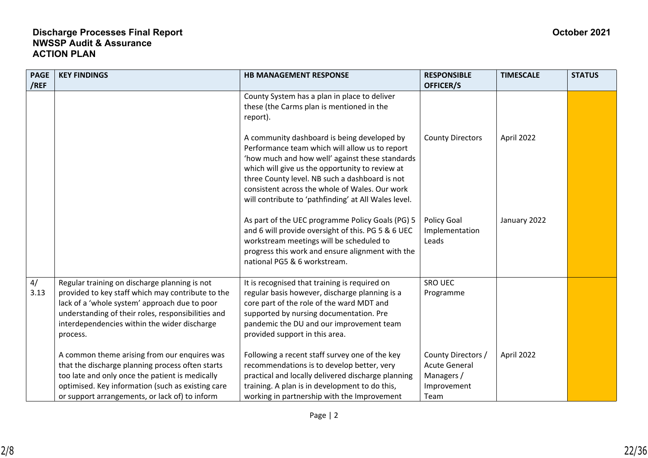| <b>PAGE</b> | <b>KEY FINDINGS</b>                                                                                                                                                                                                                                                   | <b>HB MANAGEMENT RESPONSE</b>                                                                                                                                                                                                                                                                                                                                   | <b>RESPONSIBLE</b>                                                              | <b>TIMESCALE</b> | <b>STATUS</b> |
|-------------|-----------------------------------------------------------------------------------------------------------------------------------------------------------------------------------------------------------------------------------------------------------------------|-----------------------------------------------------------------------------------------------------------------------------------------------------------------------------------------------------------------------------------------------------------------------------------------------------------------------------------------------------------------|---------------------------------------------------------------------------------|------------------|---------------|
| /REF        |                                                                                                                                                                                                                                                                       |                                                                                                                                                                                                                                                                                                                                                                 | OFFICER/S                                                                       |                  |               |
|             |                                                                                                                                                                                                                                                                       | County System has a plan in place to deliver<br>these (the Carms plan is mentioned in the<br>report).                                                                                                                                                                                                                                                           |                                                                                 |                  |               |
|             |                                                                                                                                                                                                                                                                       | A community dashboard is being developed by<br>Performance team which will allow us to report<br>'how much and how well' against these standards<br>which will give us the opportunity to review at<br>three County level. NB such a dashboard is not<br>consistent across the whole of Wales. Our work<br>will contribute to 'pathfinding' at All Wales level. | <b>County Directors</b>                                                         | April 2022       |               |
|             |                                                                                                                                                                                                                                                                       | As part of the UEC programme Policy Goals (PG) 5<br>and 6 will provide oversight of this. PG 5 & 6 UEC<br>workstream meetings will be scheduled to<br>progress this work and ensure alignment with the<br>national PG5 & 6 workstream.                                                                                                                          | Policy Goal<br>Implementation<br>Leads                                          | January 2022     |               |
| 4/<br>3.13  | Regular training on discharge planning is not<br>provided to key staff which may contribute to the<br>lack of a 'whole system' approach due to poor<br>understanding of their roles, responsibilities and<br>interdependencies within the wider discharge<br>process. | It is recognised that training is required on<br>regular basis however, discharge planning is a<br>core part of the role of the ward MDT and<br>supported by nursing documentation. Pre<br>pandemic the DU and our improvement team<br>provided support in this area.                                                                                           | SRO UEC<br>Programme                                                            |                  |               |
|             | A common theme arising from our enquires was<br>that the discharge planning process often starts<br>too late and only once the patient is medically<br>optimised. Key information (such as existing care<br>or support arrangements, or lack of) to inform            | Following a recent staff survey one of the key<br>recommendations is to develop better, very<br>practical and locally delivered discharge planning<br>training. A plan is in development to do this,<br>working in partnership with the Improvement                                                                                                             | County Directors /<br><b>Acute General</b><br>Managers /<br>Improvement<br>Team | April 2022       |               |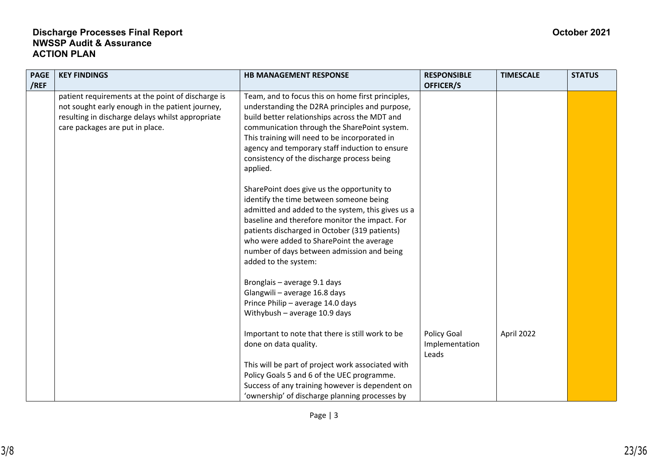| <b>PAGE</b> | <b>KEY FINDINGS</b>                               | <b>HB MANAGEMENT RESPONSE</b>                     | <b>RESPONSIBLE</b> | <b>TIMESCALE</b> | <b>STATUS</b> |
|-------------|---------------------------------------------------|---------------------------------------------------|--------------------|------------------|---------------|
| /REF        |                                                   |                                                   | OFFICER/S          |                  |               |
|             | patient requirements at the point of discharge is | Team, and to focus this on home first principles, |                    |                  |               |
|             | not sought early enough in the patient journey,   | understanding the D2RA principles and purpose,    |                    |                  |               |
|             | resulting in discharge delays whilst appropriate  | build better relationships across the MDT and     |                    |                  |               |
|             | care packages are put in place.                   | communication through the SharePoint system.      |                    |                  |               |
|             |                                                   | This training will need to be incorporated in     |                    |                  |               |
|             |                                                   | agency and temporary staff induction to ensure    |                    |                  |               |
|             |                                                   | consistency of the discharge process being        |                    |                  |               |
|             |                                                   | applied.                                          |                    |                  |               |
|             |                                                   | SharePoint does give us the opportunity to        |                    |                  |               |
|             |                                                   | identify the time between someone being           |                    |                  |               |
|             |                                                   | admitted and added to the system, this gives us a |                    |                  |               |
|             |                                                   | baseline and therefore monitor the impact. For    |                    |                  |               |
|             |                                                   | patients discharged in October (319 patients)     |                    |                  |               |
|             |                                                   | who were added to SharePoint the average          |                    |                  |               |
|             |                                                   | number of days between admission and being        |                    |                  |               |
|             |                                                   | added to the system:                              |                    |                  |               |
|             |                                                   |                                                   |                    |                  |               |
|             |                                                   | Bronglais - average 9.1 days                      |                    |                  |               |
|             |                                                   | Glangwili - average 16.8 days                     |                    |                  |               |
|             |                                                   | Prince Philip - average 14.0 days                 |                    |                  |               |
|             |                                                   | Withybush $-$ average 10.9 days                   |                    |                  |               |
|             |                                                   |                                                   |                    |                  |               |
|             |                                                   | Important to note that there is still work to be  | Policy Goal        | April 2022       |               |
|             |                                                   | done on data quality.                             | Implementation     |                  |               |
|             |                                                   |                                                   | Leads              |                  |               |
|             |                                                   | This will be part of project work associated with |                    |                  |               |
|             |                                                   | Policy Goals 5 and 6 of the UEC programme.        |                    |                  |               |
|             |                                                   | Success of any training however is dependent on   |                    |                  |               |
|             |                                                   | 'ownership' of discharge planning processes by    |                    |                  |               |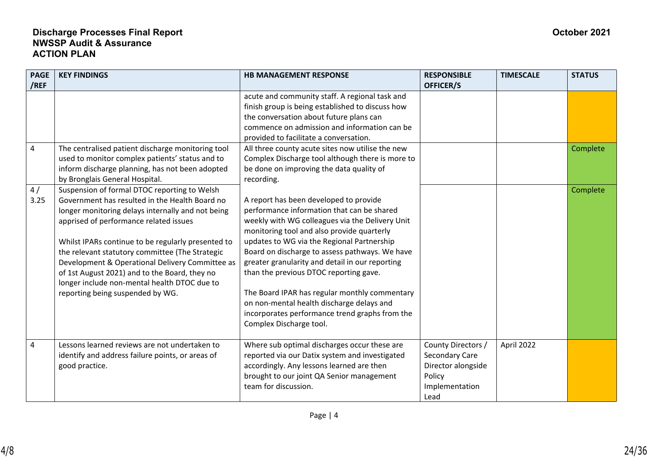| <b>PAGE</b>    | <b>KEY FINDINGS</b>                                                                                                                                                                                                                                                                                                                                                                                                                                                                            | <b>HB MANAGEMENT RESPONSE</b>                                                                                                                                                                                                                                                                                                                                                                                                                                                                                                                                 | <b>RESPONSIBLE</b>                                                                             | <b>TIMESCALE</b> | <b>STATUS</b> |
|----------------|------------------------------------------------------------------------------------------------------------------------------------------------------------------------------------------------------------------------------------------------------------------------------------------------------------------------------------------------------------------------------------------------------------------------------------------------------------------------------------------------|---------------------------------------------------------------------------------------------------------------------------------------------------------------------------------------------------------------------------------------------------------------------------------------------------------------------------------------------------------------------------------------------------------------------------------------------------------------------------------------------------------------------------------------------------------------|------------------------------------------------------------------------------------------------|------------------|---------------|
| /REF           |                                                                                                                                                                                                                                                                                                                                                                                                                                                                                                |                                                                                                                                                                                                                                                                                                                                                                                                                                                                                                                                                               | OFFICER/S                                                                                      |                  |               |
|                |                                                                                                                                                                                                                                                                                                                                                                                                                                                                                                | acute and community staff. A regional task and<br>finish group is being established to discuss how<br>the conversation about future plans can<br>commence on admission and information can be<br>provided to facilitate a conversation.                                                                                                                                                                                                                                                                                                                       |                                                                                                |                  |               |
| $\pmb{4}$      | The centralised patient discharge monitoring tool<br>used to monitor complex patients' status and to<br>inform discharge planning, has not been adopted<br>by Bronglais General Hospital.                                                                                                                                                                                                                                                                                                      | All three county acute sites now utilise the new<br>Complex Discharge tool although there is more to<br>be done on improving the data quality of<br>recording.                                                                                                                                                                                                                                                                                                                                                                                                |                                                                                                |                  | Complete      |
| 4/<br>3.25     | Suspension of formal DTOC reporting to Welsh<br>Government has resulted in the Health Board no<br>longer monitoring delays internally and not being<br>apprised of performance related issues<br>Whilst IPARs continue to be regularly presented to<br>the relevant statutory committee (The Strategic<br>Development & Operational Delivery Committee as<br>of 1st August 2021) and to the Board, they no<br>longer include non-mental health DTOC due to<br>reporting being suspended by WG. | A report has been developed to provide<br>performance information that can be shared<br>weekly with WG colleagues via the Delivery Unit<br>monitoring tool and also provide quarterly<br>updates to WG via the Regional Partnership<br>Board on discharge to assess pathways. We have<br>greater granularity and detail in our reporting<br>than the previous DTOC reporting gave.<br>The Board IPAR has regular monthly commentary<br>on non-mental health discharge delays and<br>incorporates performance trend graphs from the<br>Complex Discharge tool. |                                                                                                |                  | Complete      |
| $\overline{4}$ | Lessons learned reviews are not undertaken to<br>identify and address failure points, or areas of<br>good practice.                                                                                                                                                                                                                                                                                                                                                                            | Where sub optimal discharges occur these are<br>reported via our Datix system and investigated<br>accordingly. Any lessons learned are then<br>brought to our joint QA Senior management<br>team for discussion.                                                                                                                                                                                                                                                                                                                                              | County Directors /<br>Secondary Care<br>Director alongside<br>Policy<br>Implementation<br>Lead | April 2022       |               |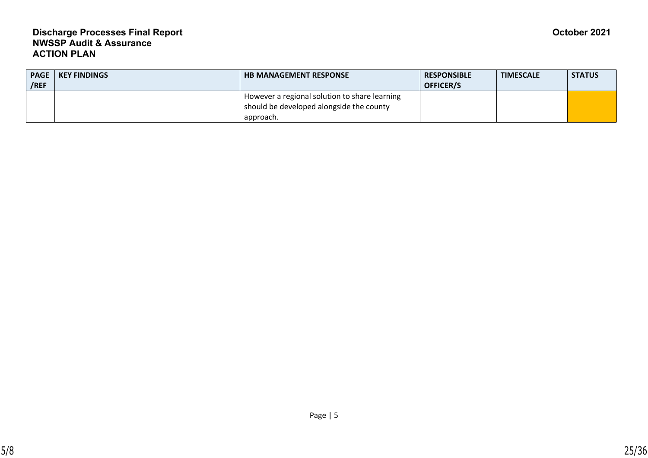| <b>PAGE</b><br>/REF | <b>KEY FINDINGS</b> | <b>HB MANAGEMENT RESPONSE</b>                                                                          | <b>RESPONSIBLE</b><br><b>OFFICER/S</b> | <b>TIMESCALE</b> | <b>STATUS</b> |
|---------------------|---------------------|--------------------------------------------------------------------------------------------------------|----------------------------------------|------------------|---------------|
|                     |                     | However a regional solution to share learning<br>should be developed alongside the county<br>approach. |                                        |                  |               |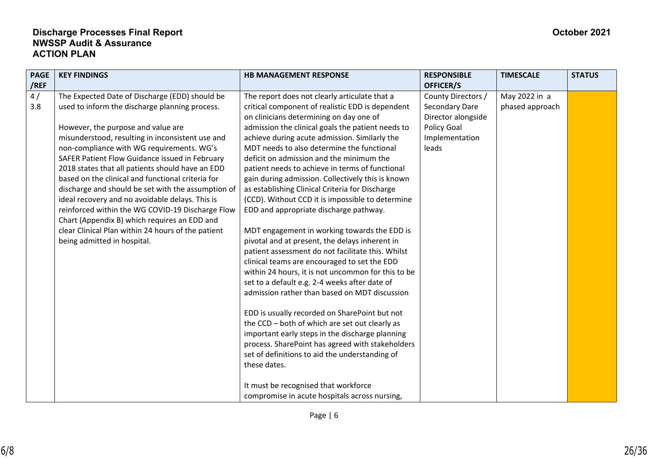| <b>PAGE</b><br>/REF | <b>KEY FINDINGS</b>                                                                                                                                                                                                                                                                                                                                                                                                                                                                                                                                                                                                                                                                                  | <b>HB MANAGEMENT RESPONSE</b>                                                                                                                                                                                                                                                                                                                                                                                                                                                                                                                                                                                                                                                                                                                                                                                                                                                                                                                                                                                                                                                                                                                                                                                                                                                                                                             | <b>RESPONSIBLE</b><br>OFFICER/S                                                                      | <b>TIMESCALE</b>                 | <b>STATUS</b> |
|---------------------|------------------------------------------------------------------------------------------------------------------------------------------------------------------------------------------------------------------------------------------------------------------------------------------------------------------------------------------------------------------------------------------------------------------------------------------------------------------------------------------------------------------------------------------------------------------------------------------------------------------------------------------------------------------------------------------------------|-------------------------------------------------------------------------------------------------------------------------------------------------------------------------------------------------------------------------------------------------------------------------------------------------------------------------------------------------------------------------------------------------------------------------------------------------------------------------------------------------------------------------------------------------------------------------------------------------------------------------------------------------------------------------------------------------------------------------------------------------------------------------------------------------------------------------------------------------------------------------------------------------------------------------------------------------------------------------------------------------------------------------------------------------------------------------------------------------------------------------------------------------------------------------------------------------------------------------------------------------------------------------------------------------------------------------------------------|------------------------------------------------------------------------------------------------------|----------------------------------|---------------|
| 4/<br>3.8           | The Expected Date of Discharge (EDD) should be<br>used to inform the discharge planning process.<br>However, the purpose and value are<br>misunderstood, resulting in inconsistent use and<br>non-compliance with WG requirements. WG's<br>SAFER Patient Flow Guidance issued in February<br>2018 states that all patients should have an EDD<br>based on the clinical and functional criteria for<br>discharge and should be set with the assumption of<br>ideal recovery and no avoidable delays. This is<br>reinforced within the WG COVID-19 Discharge Flow<br>Chart (Appendix B) which requires an EDD and<br>clear Clinical Plan within 24 hours of the patient<br>being admitted in hospital. | The report does not clearly articulate that a<br>critical component of realistic EDD is dependent<br>on clinicians determining on day one of<br>admission the clinical goals the patient needs to<br>achieve during acute admission. Similarly the<br>MDT needs to also determine the functional<br>deficit on admission and the minimum the<br>patient needs to achieve in terms of functional<br>gain during admission. Collectively this is known<br>as establishing Clinical Criteria for Discharge<br>(CCD). Without CCD it is impossible to determine<br>EDD and appropriate discharge pathway.<br>MDT engagement in working towards the EDD is<br>pivotal and at present, the delays inherent in<br>patient assessment do not facilitate this. Whilst<br>clinical teams are encouraged to set the EDD<br>within 24 hours, it is not uncommon for this to be<br>set to a default e.g. 2-4 weeks after date of<br>admission rather than based on MDT discussion<br>EDD is usually recorded on SharePoint but not<br>the CCD - both of which are set out clearly as<br>important early steps in the discharge planning<br>process. SharePoint has agreed with stakeholders<br>set of definitions to aid the understanding of<br>these dates.<br>It must be recognised that workforce<br>compromise in acute hospitals across nursing, | County Directors /<br>Secondary Dare<br>Director alongside<br>Policy Goal<br>Implementation<br>leads | May 2022 in a<br>phased approach |               |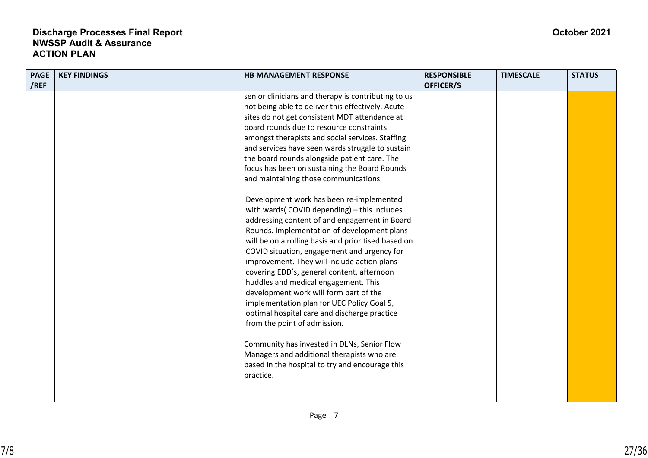| <b>PAGE</b><br>/REF | <b>KEY FINDINGS</b> | <b>HB MANAGEMENT RESPONSE</b>                                                                                                                                                                                                                                                                                                                                                                                                                                                                                                                                                                                                                                                                                                                                                                                                                                                                                                                                                                                                                                                                                                                                                                                                     | <b>RESPONSIBLE</b><br>OFFICER/S | <b>TIMESCALE</b> | <b>STATUS</b> |
|---------------------|---------------------|-----------------------------------------------------------------------------------------------------------------------------------------------------------------------------------------------------------------------------------------------------------------------------------------------------------------------------------------------------------------------------------------------------------------------------------------------------------------------------------------------------------------------------------------------------------------------------------------------------------------------------------------------------------------------------------------------------------------------------------------------------------------------------------------------------------------------------------------------------------------------------------------------------------------------------------------------------------------------------------------------------------------------------------------------------------------------------------------------------------------------------------------------------------------------------------------------------------------------------------|---------------------------------|------------------|---------------|
|                     |                     | senior clinicians and therapy is contributing to us<br>not being able to deliver this effectively. Acute<br>sites do not get consistent MDT attendance at<br>board rounds due to resource constraints<br>amongst therapists and social services. Staffing<br>and services have seen wards struggle to sustain<br>the board rounds alongside patient care. The<br>focus has been on sustaining the Board Rounds<br>and maintaining those communications<br>Development work has been re-implemented<br>with wards(COVID depending) - this includes<br>addressing content of and engagement in Board<br>Rounds. Implementation of development plans<br>will be on a rolling basis and prioritised based on<br>COVID situation, engagement and urgency for<br>improvement. They will include action plans<br>covering EDD's, general content, afternoon<br>huddles and medical engagement. This<br>development work will form part of the<br>implementation plan for UEC Policy Goal 5,<br>optimal hospital care and discharge practice<br>from the point of admission.<br>Community has invested in DLNs, Senior Flow<br>Managers and additional therapists who are<br>based in the hospital to try and encourage this<br>practice. |                                 |                  |               |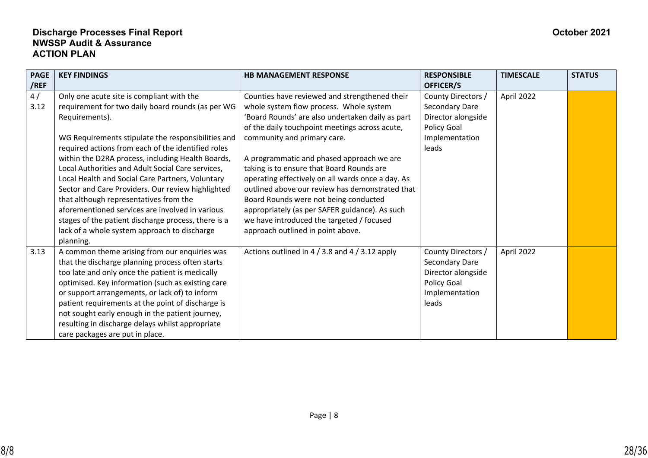| <b>PAGE</b><br>/REF | <b>KEY FINDINGS</b>                                                                                                                                                                                                                                                                                                                                                                                                                                                                                                                                                                                                                                              | <b>HB MANAGEMENT RESPONSE</b>                                                                                                                                                                                                                                                                                                                                                                                                                                                                                                                                                                                | <b>RESPONSIBLE</b><br>OFFICER/S                                                                      | <b>TIMESCALE</b> | <b>STATUS</b> |
|---------------------|------------------------------------------------------------------------------------------------------------------------------------------------------------------------------------------------------------------------------------------------------------------------------------------------------------------------------------------------------------------------------------------------------------------------------------------------------------------------------------------------------------------------------------------------------------------------------------------------------------------------------------------------------------------|--------------------------------------------------------------------------------------------------------------------------------------------------------------------------------------------------------------------------------------------------------------------------------------------------------------------------------------------------------------------------------------------------------------------------------------------------------------------------------------------------------------------------------------------------------------------------------------------------------------|------------------------------------------------------------------------------------------------------|------------------|---------------|
| 4/<br>3.12          | Only one acute site is compliant with the<br>requirement for two daily board rounds (as per WG<br>Requirements).<br>WG Requirements stipulate the responsibilities and<br>required actions from each of the identified roles<br>within the D2RA process, including Health Boards,<br>Local Authorities and Adult Social Care services,<br>Local Health and Social Care Partners, Voluntary<br>Sector and Care Providers. Our review highlighted<br>that although representatives from the<br>aforementioned services are involved in various<br>stages of the patient discharge process, there is a<br>lack of a whole system approach to discharge<br>planning. | Counties have reviewed and strengthened their<br>whole system flow process. Whole system<br>'Board Rounds' are also undertaken daily as part<br>of the daily touchpoint meetings across acute,<br>community and primary care.<br>A programmatic and phased approach we are<br>taking is to ensure that Board Rounds are<br>operating effectively on all wards once a day. As<br>outlined above our review has demonstrated that<br>Board Rounds were not being conducted<br>appropriately (as per SAFER guidance). As such<br>we have introduced the targeted / focused<br>approach outlined in point above. | County Directors /<br>Secondary Dare<br>Director alongside<br>Policy Goal<br>Implementation<br>leads | April 2022       |               |
| 3.13                | A common theme arising from our enquiries was<br>that the discharge planning process often starts<br>too late and only once the patient is medically<br>optimised. Key information (such as existing care<br>or support arrangements, or lack of) to inform<br>patient requirements at the point of discharge is<br>not sought early enough in the patient journey,<br>resulting in discharge delays whilst appropriate<br>care packages are put in place.                                                                                                                                                                                                       | Actions outlined in 4 / 3.8 and 4 / 3.12 apply                                                                                                                                                                                                                                                                                                                                                                                                                                                                                                                                                               | County Directors /<br>Secondary Dare<br>Director alongside<br>Policy Goal<br>Implementation<br>leads | April 2022       |               |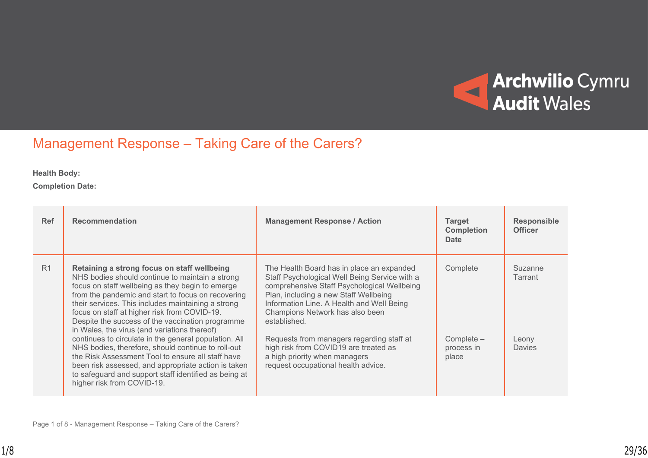

# Management Response – Taking Care of the Carers?

**Health Body:**

**Completion Date:**

| <b>Ref</b> | <b>Recommendation</b>                                                                                                                                                                                                                                                                                                                                                                                              | <b>Management Response / Action</b>                                                                                                                                                                                                                                                | Target<br><b>Completion</b><br><b>Date</b> | <b>Responsible</b><br><b>Officer</b> |
|------------|--------------------------------------------------------------------------------------------------------------------------------------------------------------------------------------------------------------------------------------------------------------------------------------------------------------------------------------------------------------------------------------------------------------------|------------------------------------------------------------------------------------------------------------------------------------------------------------------------------------------------------------------------------------------------------------------------------------|--------------------------------------------|--------------------------------------|
| R1         | Retaining a strong focus on staff wellbeing<br>NHS bodies should continue to maintain a strong<br>focus on staff wellbeing as they begin to emerge<br>from the pandemic and start to focus on recovering<br>their services. This includes maintaining a strong<br>focus on staff at higher risk from COVID-19.<br>Despite the success of the vaccination programme<br>in Wales, the virus (and variations thereof) | The Health Board has in place an expanded<br>Staff Psychological Well Being Service with a<br>comprehensive Staff Psychological Wellbeing<br>Plan, including a new Staff Wellbeing<br>Information Line. A Health and Well Being<br>Champions Network has also been<br>established. | Complete                                   | Suzanne<br>Tarrant                   |
|            | continues to circulate in the general population. All<br>NHS bodies, therefore, should continue to roll-out<br>the Risk Assessment Tool to ensure all staff have<br>been risk assessed, and appropriate action is taken<br>to safeguard and support staff identified as being at<br>higher risk from COVID-19.                                                                                                     | Requests from managers regarding staff at<br>high risk from COVID19 are treated as<br>a high priority when managers<br>request occupational health advice.                                                                                                                         | $Complete -$<br>process in<br>place        | Leony<br><b>Davies</b>               |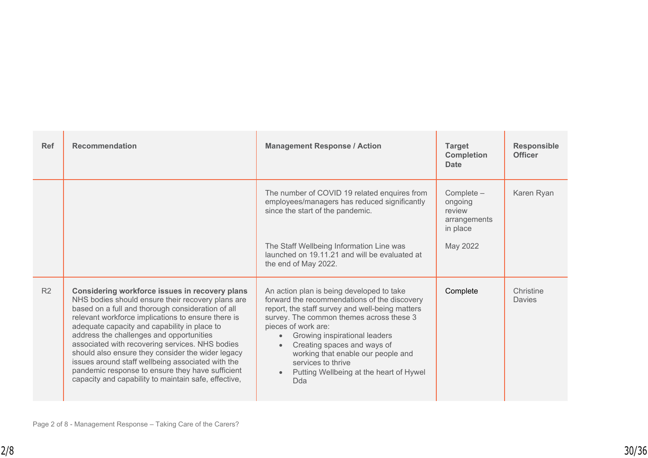| <b>Ref</b> | <b>Recommendation</b>                                                                                                                                                                                                                                                                                                                                                                                                                                                                                                                                                               | <b>Management Response / Action</b>                                                                                                                                                                                                                                                                                                                                                                                                  | <b>Target</b><br><b>Completion</b><br><b>Date</b>                         | <b>Responsible</b><br><b>Officer</b> |
|------------|-------------------------------------------------------------------------------------------------------------------------------------------------------------------------------------------------------------------------------------------------------------------------------------------------------------------------------------------------------------------------------------------------------------------------------------------------------------------------------------------------------------------------------------------------------------------------------------|--------------------------------------------------------------------------------------------------------------------------------------------------------------------------------------------------------------------------------------------------------------------------------------------------------------------------------------------------------------------------------------------------------------------------------------|---------------------------------------------------------------------------|--------------------------------------|
|            |                                                                                                                                                                                                                                                                                                                                                                                                                                                                                                                                                                                     | The number of COVID 19 related enquires from<br>employees/managers has reduced significantly<br>since the start of the pandemic.<br>The Staff Wellbeing Information Line was<br>launched on 19.11.21 and will be evaluated at<br>the end of May 2022.                                                                                                                                                                                | $Complete -$<br>ongoing<br>review<br>arrangements<br>in place<br>May 2022 | Karen Ryan                           |
| R2         | Considering workforce issues in recovery plans<br>NHS bodies should ensure their recovery plans are<br>based on a full and thorough consideration of all<br>relevant workforce implications to ensure there is<br>adequate capacity and capability in place to<br>address the challenges and opportunities<br>associated with recovering services. NHS bodies<br>should also ensure they consider the wider legacy<br>issues around staff wellbeing associated with the<br>pandemic response to ensure they have sufficient<br>capacity and capability to maintain safe, effective, | An action plan is being developed to take<br>forward the recommendations of the discovery<br>report, the staff survey and well-being matters<br>survey. The common themes across these 3<br>pieces of work are:<br>Growing inspirational leaders<br>$\bullet$<br>Creating spaces and ways of<br>$\bullet$<br>working that enable our people and<br>services to thrive<br>Putting Wellbeing at the heart of Hywel<br>$\bullet$<br>Dda | Complete                                                                  | Christine<br>Davies                  |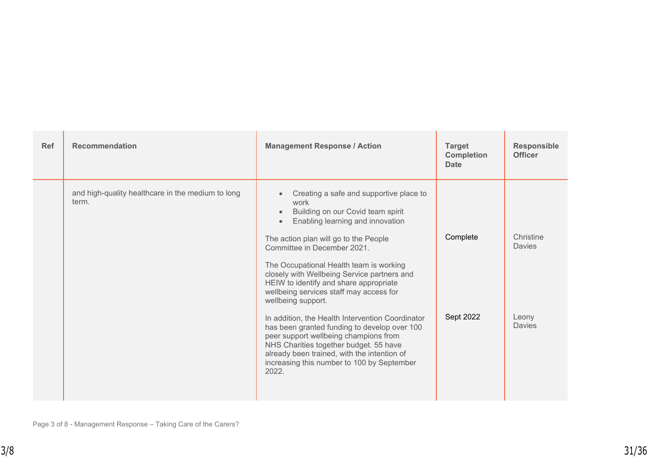| <b>Ref</b> | <b>Recommendation</b>                                      | <b>Management Response / Action</b>                                                                                                                                                                                                                                                                                                                                                                                                          | <b>Target</b><br><b>Completion</b><br><b>Date</b> | <b>Responsible</b><br><b>Officer</b> |
|------------|------------------------------------------------------------|----------------------------------------------------------------------------------------------------------------------------------------------------------------------------------------------------------------------------------------------------------------------------------------------------------------------------------------------------------------------------------------------------------------------------------------------|---------------------------------------------------|--------------------------------------|
|            | and high-quality healthcare in the medium to long<br>term. | Creating a safe and supportive place to<br>$\bullet$<br>work<br>Building on our Covid team spirit<br>$\bullet$<br>Enabling learning and innovation<br>$\bullet$<br>The action plan will go to the People<br>Committee in December 2021.<br>The Occupational Health team is working<br>closely with Wellbeing Service partners and<br>HEIW to identify and share appropriate<br>wellbeing services staff may access for<br>wellbeing support. | Complete                                          | Christine<br>Davies                  |
|            |                                                            | In addition, the Health Intervention Coordinator<br>has been granted funding to develop over 100<br>peer support wellbeing champions from<br>NHS Charities together budget. 55 have<br>already been trained, with the intention of<br>increasing this number to 100 by September<br>2022.                                                                                                                                                    | Sept 2022                                         | Leony<br>Davies                      |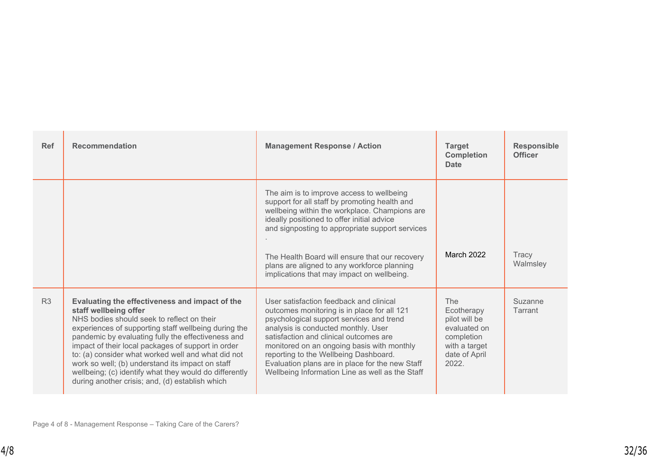| <b>Ref</b>     | <b>Recommendation</b>                                                                                                                                                                                                                                                                                                                                                                                                                                                                                            | <b>Management Response / Action</b>                                                                                                                                                                                                                                                                                                                                                                              | <b>Target</b><br><b>Completion</b><br><b>Date</b>                                                           | <b>Responsible</b><br><b>Officer</b> |
|----------------|------------------------------------------------------------------------------------------------------------------------------------------------------------------------------------------------------------------------------------------------------------------------------------------------------------------------------------------------------------------------------------------------------------------------------------------------------------------------------------------------------------------|------------------------------------------------------------------------------------------------------------------------------------------------------------------------------------------------------------------------------------------------------------------------------------------------------------------------------------------------------------------------------------------------------------------|-------------------------------------------------------------------------------------------------------------|--------------------------------------|
|                |                                                                                                                                                                                                                                                                                                                                                                                                                                                                                                                  | The aim is to improve access to wellbeing<br>support for all staff by promoting health and<br>wellbeing within the workplace. Champions are<br>ideally positioned to offer initial advice<br>and signposting to appropriate support services<br>The Health Board will ensure that our recovery<br>plans are aligned to any workforce planning<br>implications that may impact on wellbeing.                      | March 2022                                                                                                  | Tracy<br>Walmsley                    |
| R <sub>3</sub> | Evaluating the effectiveness and impact of the<br>staff wellbeing offer<br>NHS bodies should seek to reflect on their<br>experiences of supporting staff wellbeing during the<br>pandemic by evaluating fully the effectiveness and<br>impact of their local packages of support in order<br>to: (a) consider what worked well and what did not<br>work so well; (b) understand its impact on staff<br>wellbeing; (c) identify what they would do differently<br>during another crisis; and, (d) establish which | User satisfaction feedback and clinical<br>outcomes monitoring is in place for all 121<br>psychological support services and trend<br>analysis is conducted monthly. User<br>satisfaction and clinical outcomes are<br>monitored on an ongoing basis with monthly<br>reporting to the Wellbeing Dashboard.<br>Evaluation plans are in place for the new Staff<br>Wellbeing Information Line as well as the Staff | The<br>Ecotherapy<br>pilot will be<br>evaluated on<br>completion<br>with a target<br>date of April<br>2022. | Suzanne<br>Tarrant                   |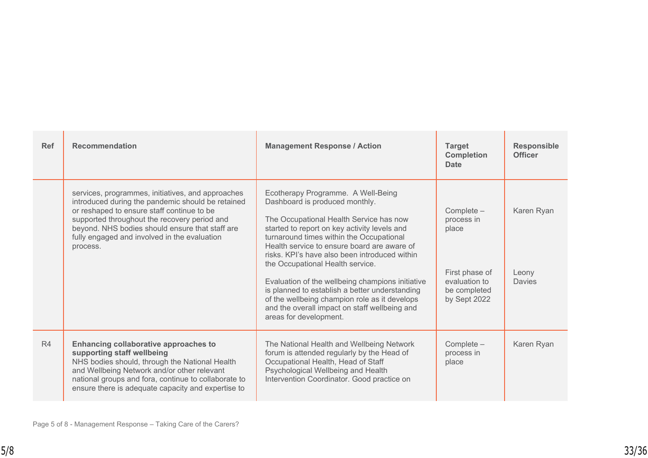| <b>Ref</b> | <b>Recommendation</b>                                                                                                                                                                                                                                                                                               | <b>Management Response / Action</b>                                                                                                                                                                                                                                                                                                                                                                                                                                                                                                                                               | <b>Target</b><br><b>Completion</b><br><b>Date</b>                                                    | <b>Responsible</b><br><b>Officer</b> |
|------------|---------------------------------------------------------------------------------------------------------------------------------------------------------------------------------------------------------------------------------------------------------------------------------------------------------------------|-----------------------------------------------------------------------------------------------------------------------------------------------------------------------------------------------------------------------------------------------------------------------------------------------------------------------------------------------------------------------------------------------------------------------------------------------------------------------------------------------------------------------------------------------------------------------------------|------------------------------------------------------------------------------------------------------|--------------------------------------|
|            | services, programmes, initiatives, and approaches<br>introduced during the pandemic should be retained<br>or reshaped to ensure staff continue to be<br>supported throughout the recovery period and<br>beyond. NHS bodies should ensure that staff are<br>fully engaged and involved in the evaluation<br>process. | Ecotherapy Programme. A Well-Being<br>Dashboard is produced monthly.<br>The Occupational Health Service has now<br>started to report on key activity levels and<br>turnaround times within the Occupational<br>Health service to ensure board are aware of<br>risks. KPI's have also been introduced within<br>the Occupational Health service.<br>Evaluation of the wellbeing champions initiative<br>is planned to establish a better understanding<br>of the wellbeing champion role as it develops<br>and the overall impact on staff wellbeing and<br>areas for development. | Complete -<br>process in<br>place<br>First phase of<br>evaluation to<br>be completed<br>by Sept 2022 | Karen Ryan<br>Leony<br>Davies        |
| R4         | Enhancing collaborative approaches to<br>supporting staff wellbeing<br>NHS bodies should, through the National Health<br>and Wellbeing Network and/or other relevant<br>national groups and fora, continue to collaborate to<br>ensure there is adequate capacity and expertise to                                  | The National Health and Wellbeing Network<br>forum is attended regularly by the Head of<br>Occupational Health, Head of Staff<br>Psychological Wellbeing and Health<br>Intervention Coordinator. Good practice on                                                                                                                                                                                                                                                                                                                                                                 | Complete -<br>process in<br>place                                                                    | Karen Ryan                           |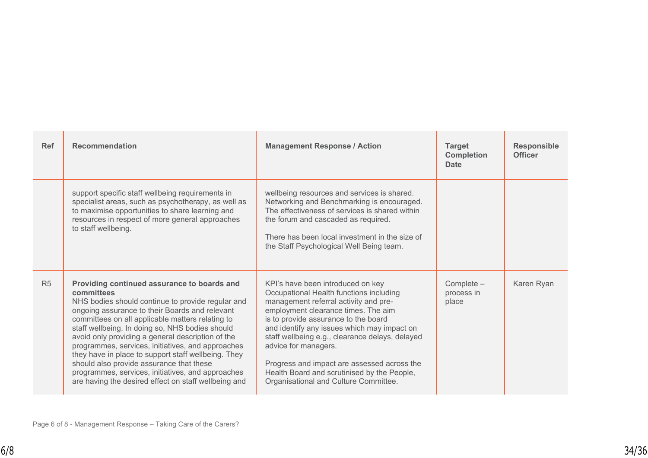| <b>Ref</b>     | <b>Recommendation</b>                                                                                                                                                                                                                                                                                                                                                                                                                                                                                                                                                                             | <b>Management Response / Action</b>                                                                                                                                                                                                                                                                                                                                                                                                                                   | <b>Target</b><br><b>Completion</b><br><b>Date</b> | <b>Responsible</b><br><b>Officer</b> |
|----------------|---------------------------------------------------------------------------------------------------------------------------------------------------------------------------------------------------------------------------------------------------------------------------------------------------------------------------------------------------------------------------------------------------------------------------------------------------------------------------------------------------------------------------------------------------------------------------------------------------|-----------------------------------------------------------------------------------------------------------------------------------------------------------------------------------------------------------------------------------------------------------------------------------------------------------------------------------------------------------------------------------------------------------------------------------------------------------------------|---------------------------------------------------|--------------------------------------|
|                | support specific staff wellbeing requirements in<br>specialist areas, such as psychotherapy, as well as<br>to maximise opportunities to share learning and<br>resources in respect of more general approaches<br>to staff wellbeing.                                                                                                                                                                                                                                                                                                                                                              | wellbeing resources and services is shared.<br>Networking and Benchmarking is encouraged.<br>The effectiveness of services is shared within<br>the forum and cascaded as required.<br>There has been local investment in the size of<br>the Staff Psychological Well Being team.                                                                                                                                                                                      |                                                   |                                      |
| R <sub>5</sub> | Providing continued assurance to boards and<br>committees<br>NHS bodies should continue to provide regular and<br>ongoing assurance to their Boards and relevant<br>committees on all applicable matters relating to<br>staff wellbeing. In doing so, NHS bodies should<br>avoid only providing a general description of the<br>programmes, services, initiatives, and approaches<br>they have in place to support staff wellbeing. They<br>should also provide assurance that these<br>programmes, services, initiatives, and approaches<br>are having the desired effect on staff wellbeing and | KPI's have been introduced on key<br>Occupational Health functions including<br>management referral activity and pre-<br>employment clearance times. The aim<br>is to provide assurance to the board<br>and identify any issues which may impact on<br>staff wellbeing e.g., clearance delays, delayed<br>advice for managers.<br>Progress and impact are assessed across the<br>Health Board and scrutinised by the People,<br>Organisational and Culture Committee. | $Complete -$<br>process in<br>place               | Karen Ryan                           |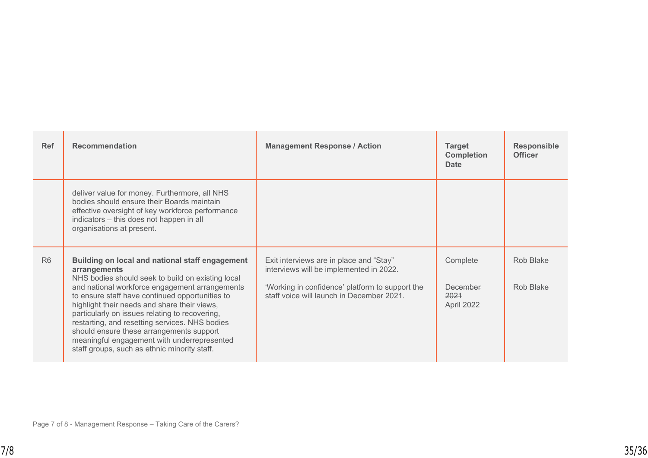| <b>Ref</b>     | <b>Recommendation</b>                                                                                                                                                                                                                                                                                                                                                                                                                                                                                                    | <b>Management Response / Action</b>                                                                                                                                                | <b>Target</b><br><b>Completion</b><br><b>Date</b> | <b>Responsible</b><br><b>Officer</b> |
|----------------|--------------------------------------------------------------------------------------------------------------------------------------------------------------------------------------------------------------------------------------------------------------------------------------------------------------------------------------------------------------------------------------------------------------------------------------------------------------------------------------------------------------------------|------------------------------------------------------------------------------------------------------------------------------------------------------------------------------------|---------------------------------------------------|--------------------------------------|
|                | deliver value for money. Furthermore, all NHS<br>bodies should ensure their Boards maintain<br>effective oversight of key workforce performance<br>indicators - this does not happen in all<br>organisations at present.                                                                                                                                                                                                                                                                                                 |                                                                                                                                                                                    |                                                   |                                      |
| R <sub>6</sub> | Building on local and national staff engagement<br>arrangements<br>NHS bodies should seek to build on existing local<br>and national workforce engagement arrangements<br>to ensure staff have continued opportunities to<br>highlight their needs and share their views,<br>particularly on issues relating to recovering,<br>restarting, and resetting services. NHS bodies<br>should ensure these arrangements support<br>meaningful engagement with underrepresented<br>staff groups, such as ethnic minority staff. | Exit interviews are in place and "Stay"<br>interviews will be implemented in 2022.<br>'Working in confidence' platform to support the<br>staff voice will launch in December 2021. | Complete<br>December<br>2021<br>April 2022        | Rob Blake<br>Rob Blake               |